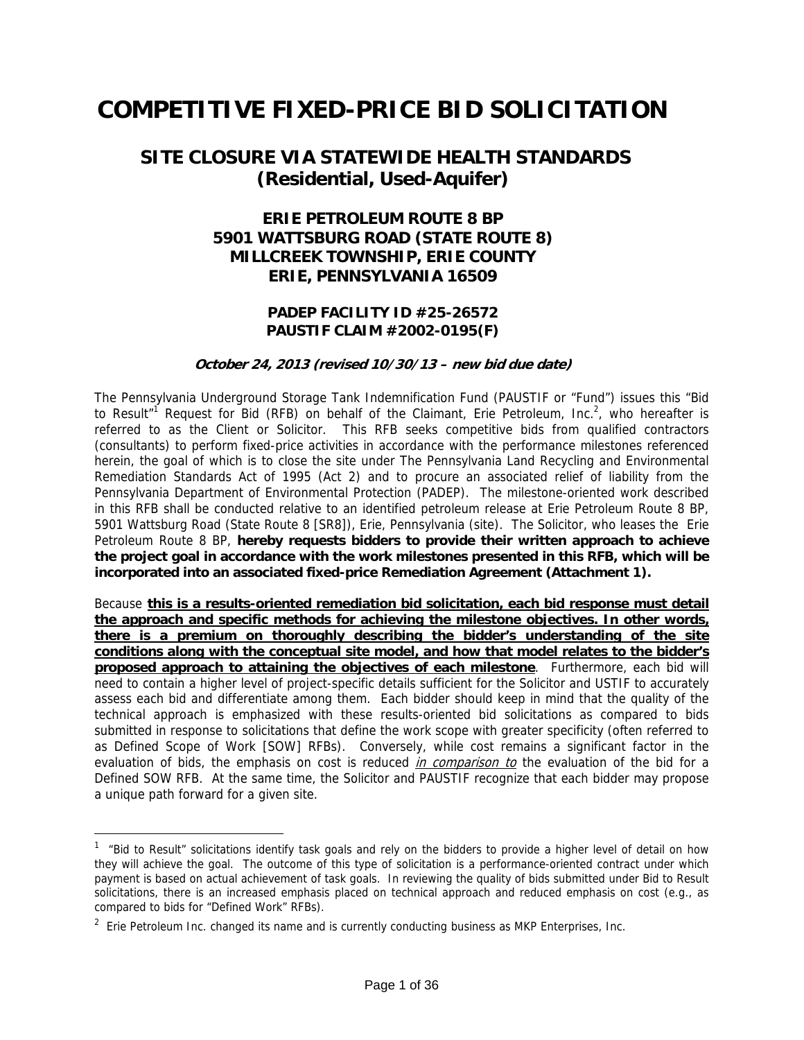# **COMPETITIVE FIXED-PRICE BID SOLICITATION**

## **SITE CLOSURE VIA STATEWIDE HEALTH STANDARDS (Residential, Used-Aquifer)**

### **ERIE PETROLEUM ROUTE 8 BP 5901 WATTSBURG ROAD (STATE ROUTE 8) MILLCREEK TOWNSHIP, ERIE COUNTY ERIE, PENNSYLVANIA 16509**

### **PADEP FACILITY ID #25-26572 PAUSTIF CLAIM #2002-0195(F)**

#### **October 24, 2013 (revised 10/30/13 – new bid due date)**

The Pennsylvania Underground Storage Tank Indemnification Fund (PAUSTIF or "Fund") issues this "Bid to Result<sup>"1</sup> Request for Bid (RFB) on behalf of the Claimant, Erie Petroleum, Inc.<sup>2</sup>, who hereafter is referred to as the Client or Solicitor. This RFB seeks competitive bids from qualified contractors (consultants) to perform fixed-price activities in accordance with the performance milestones referenced herein, the goal of which is to close the site under The Pennsylvania Land Recycling and Environmental Remediation Standards Act of 1995 (Act 2) and to procure an associated relief of liability from the Pennsylvania Department of Environmental Protection (PADEP). The milestone-oriented work described in this RFB shall be conducted relative to an identified petroleum release at Erie Petroleum Route 8 BP, 5901 Wattsburg Road (State Route 8 [SR8]), Erie, Pennsylvania (site). The Solicitor, who leases the Erie Petroleum Route 8 BP, **hereby requests bidders to provide their written approach to achieve the project goal in accordance with the work milestones presented in this RFB, which will be incorporated into an associated fixed-price Remediation Agreement (Attachment 1).** 

Because **this is a results-oriented remediation bid solicitation, each bid response must detail the approach and specific methods for achieving the milestone objectives. In other words, there is a premium on thoroughly describing the bidder's understanding of the site conditions along with the conceptual site model, and how that model relates to the bidder's proposed approach to attaining the objectives of each milestone**. Furthermore, each bid will need to contain a higher level of project-specific details sufficient for the Solicitor and USTIF to accurately assess each bid and differentiate among them. Each bidder should keep in mind that the quality of the technical approach is emphasized with these results-oriented bid solicitations as compared to bids submitted in response to solicitations that define the work scope with greater specificity (often referred to as Defined Scope of Work [SOW] RFBs). Conversely, while cost remains a significant factor in the evaluation of bids, the emphasis on cost is reduced in comparison to the evaluation of the bid for a Defined SOW RFB. At the same time, the Solicitor and PAUSTIF recognize that each bidder may propose a unique path forward for a given site.

<sup>&</sup>lt;sup>1</sup> "Bid to Result" solicitations identify task goals and rely on the bidders to provide a higher level of detail on how they will achieve the goal. The outcome of this type of solicitation is a performance-oriented contract under which payment is based on actual achievement of task goals. In reviewing the quality of bids submitted under Bid to Result solicitations, there is an increased emphasis placed on technical approach and reduced emphasis on cost (e.g., as compared to bids for "Defined Work" RFBs).

<sup>&</sup>lt;sup>2</sup> Erie Petroleum Inc. changed its name and is currently conducting business as MKP Enterprises, Inc.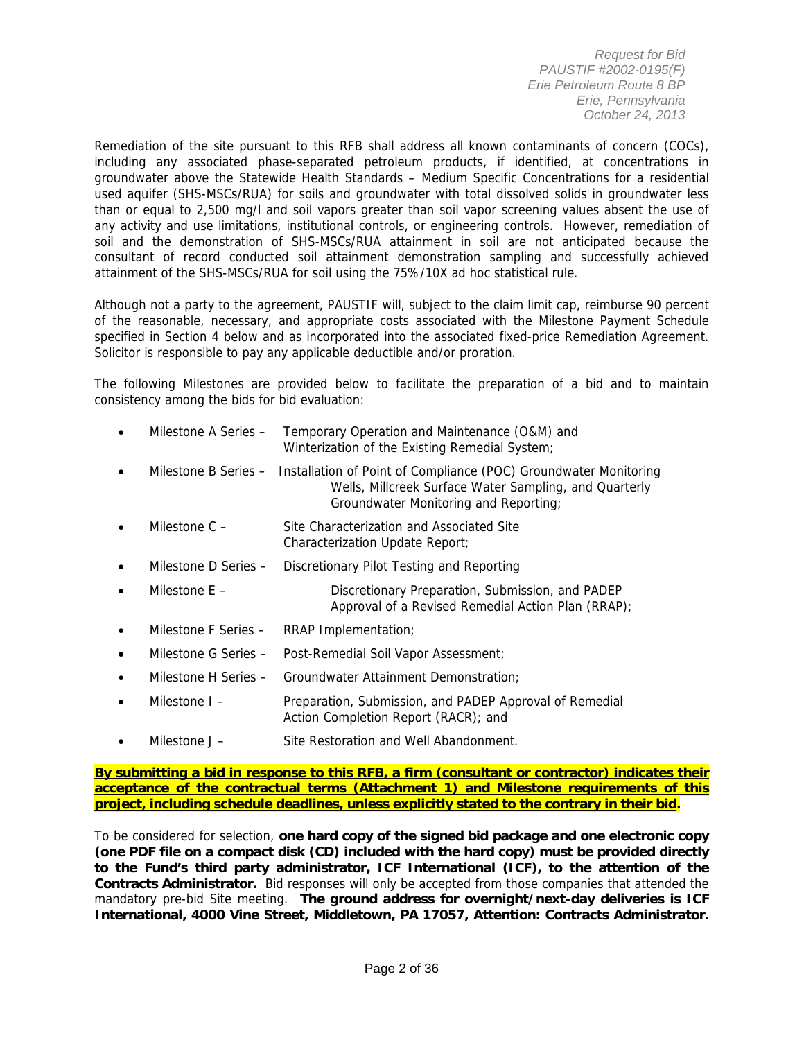Remediation of the site pursuant to this RFB shall address all known contaminants of concern (COCs), including any associated phase-separated petroleum products, if identified, at concentrations in groundwater above the Statewide Health Standards – Medium Specific Concentrations for a residential used aquifer (SHS-MSCs/RUA) for soils and groundwater with total dissolved solids in groundwater less than or equal to 2,500 mg/l and soil vapors greater than soil vapor screening values absent the use of any activity and use limitations, institutional controls, or engineering controls. However, remediation of soil and the demonstration of SHS-MSCs/RUA attainment in soil are not anticipated because the consultant of record conducted soil attainment demonstration sampling and successfully achieved attainment of the SHS-MSCs/RUA for soil using the 75%/10X ad hoc statistical rule.

Although not a party to the agreement, PAUSTIF will, subject to the claim limit cap, reimburse 90 percent of the reasonable, necessary, and appropriate costs associated with the Milestone Payment Schedule specified in Section 4 below and as incorporated into the associated fixed-price Remediation Agreement. Solicitor is responsible to pay any applicable deductible and/or proration.

The following Milestones are provided below to facilitate the preparation of a bid and to maintain consistency among the bids for bid evaluation:

| Milestone A Series - | Temporary Operation and Maintenance (O&M) and  |
|----------------------|------------------------------------------------|
|                      | Winterization of the Existing Remedial System; |

- Milestone B Series Installation of Point of Compliance (POC) Groundwater Monitoring Wells, Millcreek Surface Water Sampling, and Quarterly Groundwater Monitoring and Reporting;
- Milestone C Site Characterization and Associated Site Characterization Update Report;
- Milestone D Series Discretionary Pilot Testing and Reporting
- Milestone E Discretionary Preparation, Submission, and PADEP Approval of a Revised Remedial Action Plan (RRAP);
- Milestone F Series RRAP Implementation;
- Milestone G Series Post-Remedial Soil Vapor Assessment;
- Milestone H Series Groundwater Attainment Demonstration;
- Milestone I Preparation, Submission, and PADEP Approval of Remedial Action Completion Report (RACR); and
- Milestone J Site Restoration and Well Abandonment.

**By submitting a bid in response to this RFB, a firm (consultant or contractor) indicates their acceptance of the contractual terms (Attachment 1) and Milestone requirements of this project, including schedule deadlines, unless explicitly stated to the contrary in their bid.**

To be considered for selection, **one hard copy of the signed bid package and one electronic copy (one PDF file on a compact disk (CD) included with the hard copy) must be provided directly to the Fund's third party administrator, ICF International (ICF), to the attention of the Contracts Administrator.** Bid responses will only be accepted from those companies that attended the mandatory pre-bid Site meeting. **The ground address for overnight/next-day deliveries is ICF International, 4000 Vine Street, Middletown, PA 17057, Attention: Contracts Administrator.**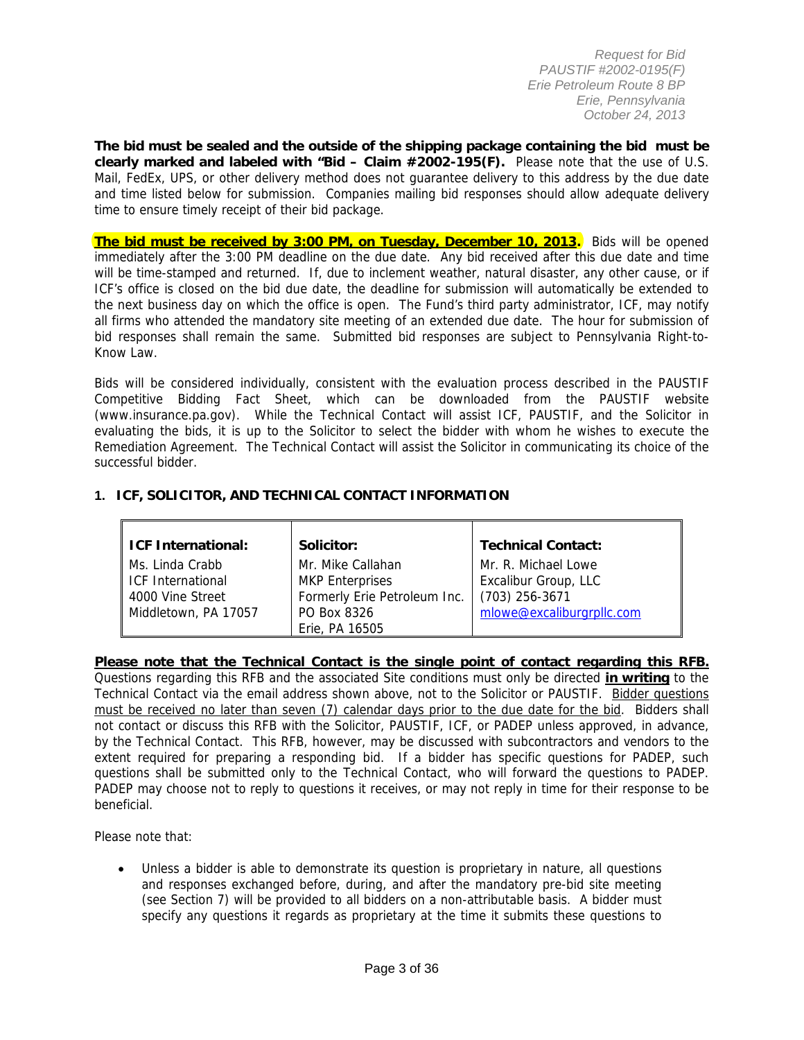**The bid must be sealed and the outside of the shipping package containing the bid must be clearly marked and labeled with "Bid – Claim #2002-195(F).** Please note that the use of U.S. Mail, FedEx, UPS, or other delivery method does not guarantee delivery to this address by the due date and time listed below for submission. Companies mailing bid responses should allow adequate delivery time to ensure timely receipt of their bid package.

**The bid must be received by 3:00 PM, on Tuesday, December 10, 2013.** Bids will be opened immediately after the 3:00 PM deadline on the due date. Any bid received after this due date and time will be time-stamped and returned. If, due to inclement weather, natural disaster, any other cause, or if ICF's office is closed on the bid due date, the deadline for submission will automatically be extended to the next business day on which the office is open. The Fund's third party administrator, ICF, may notify all firms who attended the mandatory site meeting of an extended due date. The hour for submission of bid responses shall remain the same. Submitted bid responses are subject to Pennsylvania Right-to-Know Law.

Bids will be considered individually, consistent with the evaluation process described in the PAUSTIF Competitive Bidding Fact Sheet, which can be downloaded from the PAUSTIF website (www.insurance.pa.gov). While the Technical Contact will assist ICF, PAUSTIF, and the Solicitor in evaluating the bids, it is up to the Solicitor to select the bidder with whom he wishes to execute the Remediation Agreement. The Technical Contact will assist the Solicitor in communicating its choice of the successful bidder.

### **1. ICF, SOLICITOR, AND TECHNICAL CONTACT INFORMATION**

| ICF International:                          | Solicitor:                                  | <b>Technical Contact:</b>                   |
|---------------------------------------------|---------------------------------------------|---------------------------------------------|
| Ms. Linda Crabb<br><b>ICF International</b> | Mr. Mike Callahan<br><b>MKP</b> Enterprises | Mr. R. Michael Lowe<br>Excalibur Group, LLC |
| 4000 Vine Street                            | Formerly Erie Petroleum Inc.                | $(703)$ 256-3671                            |
| Middletown, PA 17057                        | PO Box 8326<br>Erie, PA 16505               | mlowe@excaliburgrpllc.com                   |

### **Please note that the Technical Contact is the single point of contact regarding this RFB.**

Questions regarding this RFB and the associated Site conditions must only be directed **in writing** to the Technical Contact via the email address shown above, not to the Solicitor or PAUSTIF. Bidder questions must be received no later than seven (7) calendar days prior to the due date for the bid. Bidders shall not contact or discuss this RFB with the Solicitor, PAUSTIF, ICF, or PADEP unless approved, in advance, by the Technical Contact. This RFB, however, may be discussed with subcontractors and vendors to the extent required for preparing a responding bid. If a bidder has specific questions for PADEP, such questions shall be submitted only to the Technical Contact, who will forward the questions to PADEP. PADEP may choose not to reply to questions it receives, or may not reply in time for their response to be beneficial.

Please note that:

 Unless a bidder is able to demonstrate its question is proprietary in nature, all questions and responses exchanged before, during, and after the mandatory pre-bid site meeting (see Section 7) will be provided to all bidders on a non-attributable basis. A bidder must specify any questions it regards as proprietary at the time it submits these questions to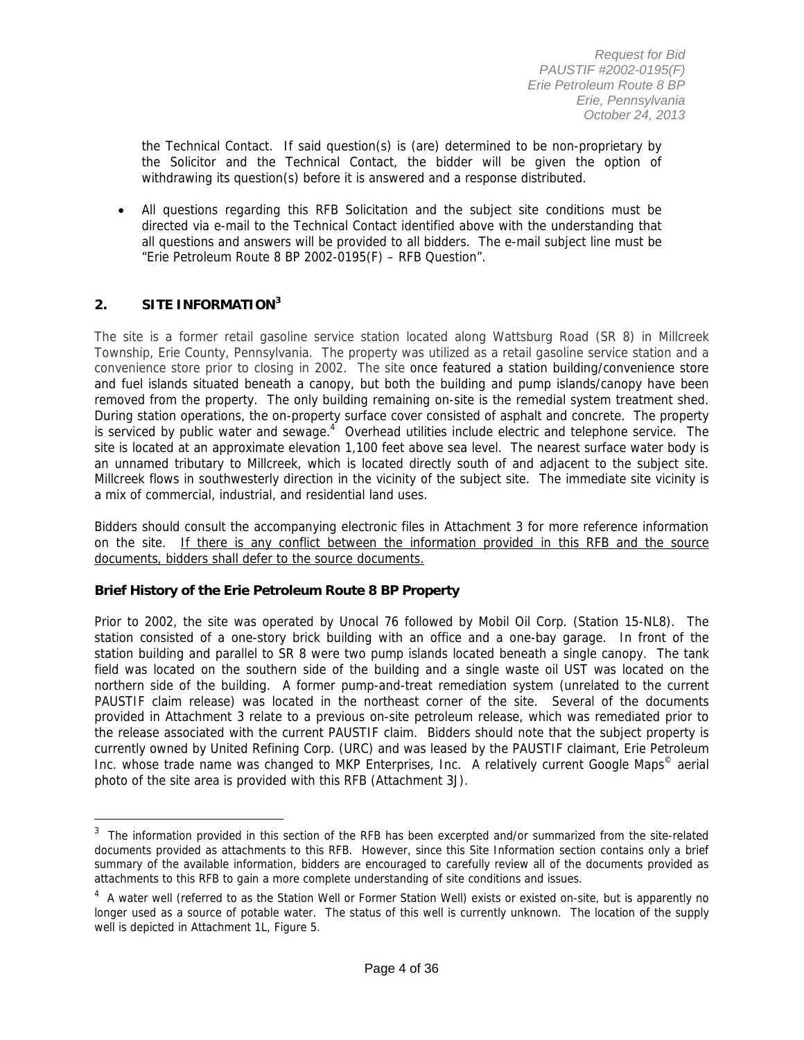the Technical Contact. If said question(s) is (are) determined to be non-proprietary by the Solicitor and the Technical Contact, the bidder will be given the option of withdrawing its question(s) before it is answered and a response distributed.

 All questions regarding this RFB Solicitation and the subject site conditions must be directed via e-mail to the Technical Contact identified above with the understanding that all questions and answers will be provided to all bidders. The e-mail subject line must be "Erie Petroleum Route 8 BP 2002-0195(F) – RFB Question".

### **2. SITE INFORMATION<sup>3</sup>**

 $\overline{a}$ 

The site is a former retail gasoline service station located along Wattsburg Road (SR 8) in Millcreek Township, Erie County, Pennsylvania. The property was utilized as a retail gasoline service station and a convenience store prior to closing in 2002. The site once featured a station building/convenience store and fuel islands situated beneath a canopy, but both the building and pump islands/canopy have been removed from the property. The only building remaining on-site is the remedial system treatment shed. During station operations, the on-property surface cover consisted of asphalt and concrete. The property is serviced by public water and sewage. $4$  Overhead utilities include electric and telephone service. The site is located at an approximate elevation 1,100 feet above sea level. The nearest surface water body is an unnamed tributary to Millcreek, which is located directly south of and adjacent to the subject site. Millcreek flows in southwesterly direction in the vicinity of the subject site. The immediate site vicinity is a mix of commercial, industrial, and residential land uses.

Bidders should consult the accompanying electronic files in Attachment 3 for more reference information on the site. If there is any conflict between the information provided in this RFB and the source documents, bidders shall defer to the source documents.

### **Brief History of the Erie Petroleum Route 8 BP Property**

Prior to 2002, the site was operated by Unocal 76 followed by Mobil Oil Corp. (Station 15-NL8). The station consisted of a one-story brick building with an office and a one-bay garage. In front of the station building and parallel to SR 8 were two pump islands located beneath a single canopy. The tank field was located on the southern side of the building and a single waste oil UST was located on the northern side of the building. A former pump-and-treat remediation system (unrelated to the current PAUSTIF claim release) was located in the northeast corner of the site. Several of the documents provided in Attachment 3 relate to a previous on-site petroleum release, which was remediated prior to the release associated with the current PAUSTIF claim. Bidders should note that the subject property is currently owned by United Refining Corp. (URC) and was leased by the PAUSTIF claimant, Erie Petroleum Inc. whose trade name was changed to MKP Enterprises, Inc. A relatively current Google Maps<sup>©</sup> aerial photo of the site area is provided with this RFB (Attachment 3J).

 $3$  The information provided in this section of the RFB has been excerpted and/or summarized from the site-related documents provided as attachments to this RFB. However, since this Site Information section contains only a brief summary of the available information, bidders are encouraged to carefully review all of the documents provided as attachments to this RFB to gain a more complete understanding of site conditions and issues.

<sup>&</sup>lt;sup>4</sup> A water well (referred to as the Station Well or Former Station Well) exists or existed on-site, but is apparently no longer used as a source of potable water. The status of this well is currently unknown. The location of the supply well is depicted in Attachment 1L, Figure 5.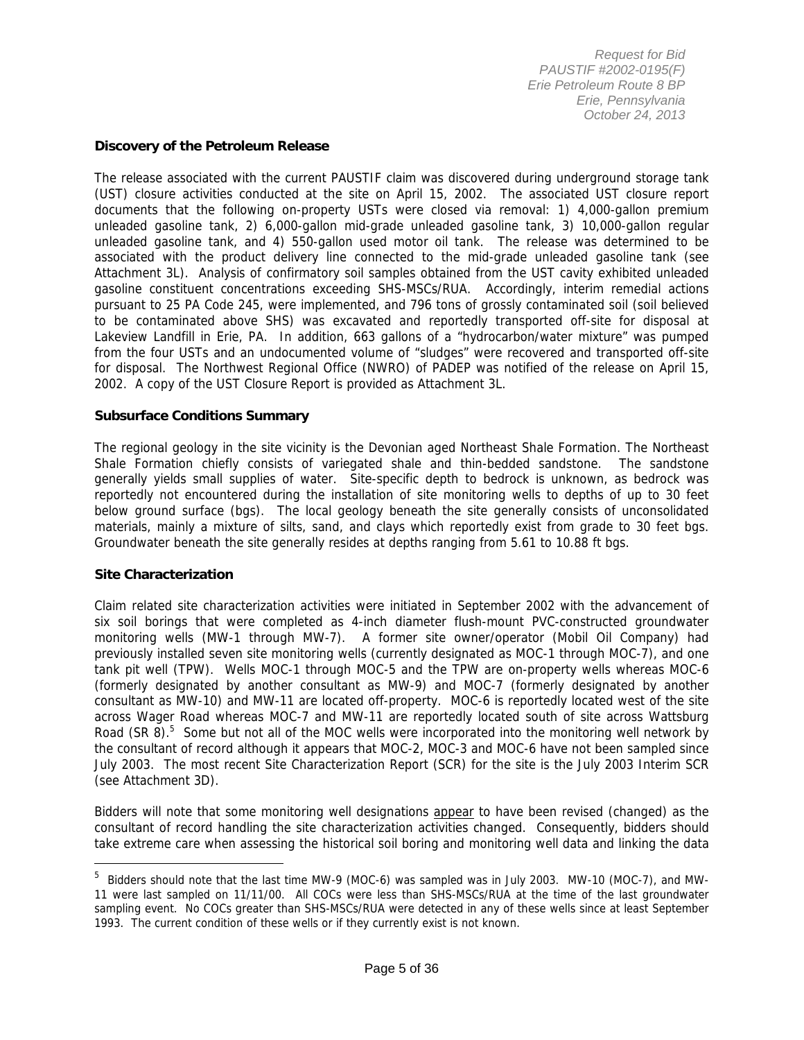#### **Discovery of the Petroleum Release**

The release associated with the current PAUSTIF claim was discovered during underground storage tank (UST) closure activities conducted at the site on April 15, 2002. The associated UST closure report documents that the following on-property USTs were closed via removal: 1) 4,000-gallon premium unleaded gasoline tank, 2) 6,000-gallon mid-grade unleaded gasoline tank, 3) 10,000-gallon regular unleaded gasoline tank, and 4) 550-gallon used motor oil tank. The release was determined to be associated with the product delivery line connected to the mid-grade unleaded gasoline tank (see Attachment 3L). Analysis of confirmatory soil samples obtained from the UST cavity exhibited unleaded gasoline constituent concentrations exceeding SHS-MSCs/RUA. Accordingly, interim remedial actions pursuant to 25 PA Code 245, were implemented, and 796 tons of grossly contaminated soil (soil believed to be contaminated above SHS) was excavated and reportedly transported off-site for disposal at Lakeview Landfill in Erie, PA. In addition, 663 gallons of a "hydrocarbon/water mixture" was pumped from the four USTs and an undocumented volume of "sludges" were recovered and transported off-site for disposal. The Northwest Regional Office (NWRO) of PADEP was notified of the release on April 15, 2002. A copy of the UST Closure Report is provided as Attachment 3L.

#### **Subsurface Conditions Summary**

The regional geology in the site vicinity is the Devonian aged Northeast Shale Formation. The Northeast Shale Formation chiefly consists of variegated shale and thin-bedded sandstone. The sandstone generally yields small supplies of water. Site-specific depth to bedrock is unknown, as bedrock was reportedly not encountered during the installation of site monitoring wells to depths of up to 30 feet below ground surface (bgs). The local geology beneath the site generally consists of unconsolidated materials, mainly a mixture of silts, sand, and clays which reportedly exist from grade to 30 feet bgs. Groundwater beneath the site generally resides at depths ranging from 5.61 to 10.88 ft bgs.

#### **Site Characterization**

 $\overline{a}$ 

Claim related site characterization activities were initiated in September 2002 with the advancement of six soil borings that were completed as 4-inch diameter flush-mount PVC-constructed groundwater monitoring wells (MW-1 through MW-7). A former site owner/operator (Mobil Oil Company) had previously installed seven site monitoring wells (currently designated as MOC-1 through MOC-7), and one tank pit well (TPW). Wells MOC-1 through MOC-5 and the TPW are on-property wells whereas MOC-6 (formerly designated by another consultant as MW-9) and MOC-7 (formerly designated by another consultant as MW-10) and MW-11 are located off-property. MOC-6 is reportedly located west of the site across Wager Road whereas MOC-7 and MW-11 are reportedly located south of site across Wattsburg Road (SR 8).<sup>5</sup> Some but not all of the MOC wells were incorporated into the monitoring well network by the consultant of record although it appears that MOC-2, MOC-3 and MOC-6 have not been sampled since July 2003. The most recent Site Characterization Report (SCR) for the site is the July 2003 Interim SCR (see Attachment 3D).

Bidders will note that some monitoring well designations appear to have been revised (changed) as the consultant of record handling the site characterization activities changed. Consequently, bidders should take extreme care when assessing the historical soil boring and monitoring well data and linking the data

<sup>&</sup>lt;sup>5</sup> Bidders should note that the last time MW-9 (MOC-6) was sampled was in July 2003. MW-10 (MOC-7), and MW-11 were last sampled on 11/11/00. All COCs were less than SHS-MSCs/RUA at the time of the last groundwater sampling event. No COCs greater than SHS-MSCs/RUA were detected in any of these wells since at least September 1993. The current condition of these wells or if they currently exist is not known.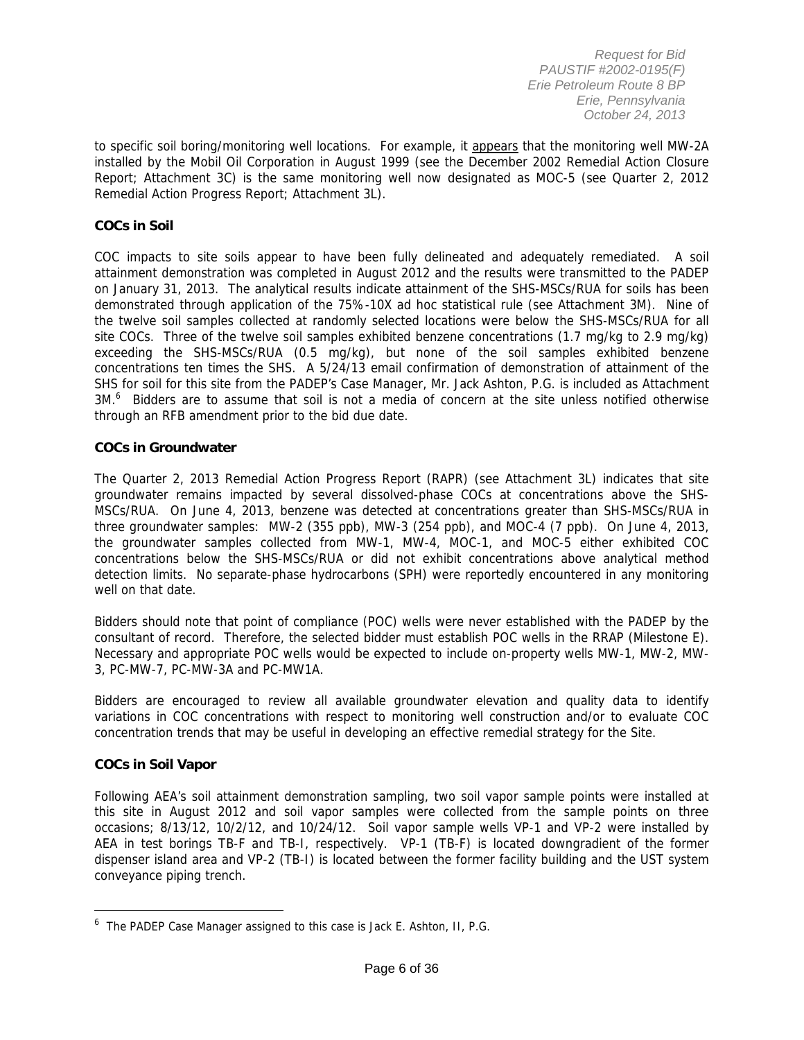to specific soil boring/monitoring well locations. For example, it appears that the monitoring well MW-2A installed by the Mobil Oil Corporation in August 1999 (see the December 2002 Remedial Action Closure Report; Attachment 3C) is the same monitoring well now designated as MOC-5 (see Quarter 2, 2012 Remedial Action Progress Report; Attachment 3L).

#### **COCs in Soil**

COC impacts to site soils appear to have been fully delineated and adequately remediated. A soil attainment demonstration was completed in August 2012 and the results were transmitted to the PADEP on January 31, 2013. The analytical results indicate attainment of the SHS-MSCs/RUA for soils has been demonstrated through application of the 75%-10X ad hoc statistical rule (see Attachment 3M). Nine of the twelve soil samples collected at randomly selected locations were below the SHS-MSCs/RUA for all site COCs. Three of the twelve soil samples exhibited benzene concentrations (1.7 mg/kg to 2.9 mg/kg) exceeding the SHS-MSCs/RUA (0.5 mg/kg), but none of the soil samples exhibited benzene concentrations ten times the SHS. A 5/24/13 email confirmation of demonstration of attainment of the SHS for soil for this site from the PADEP's Case Manager, Mr. Jack Ashton, P.G. is included as Attachment 3M.<sup>6</sup> Bidders are to assume that soil is not a media of concern at the site unless notified otherwise through an RFB amendment prior to the bid due date.

#### **COCs in Groundwater**

The Quarter 2, 2013 Remedial Action Progress Report (RAPR) (see Attachment 3L) indicates that site groundwater remains impacted by several dissolved-phase COCs at concentrations above the SHS-MSCs/RUA. On June 4, 2013, benzene was detected at concentrations greater than SHS-MSCs/RUA in three groundwater samples: MW-2 (355 ppb), MW-3 (254 ppb), and MOC-4 (7 ppb). On June 4, 2013, the groundwater samples collected from MW-1, MW-4, MOC-1, and MOC-5 either exhibited COC concentrations below the SHS-MSCs/RUA or did not exhibit concentrations above analytical method detection limits. No separate-phase hydrocarbons (SPH) were reportedly encountered in any monitoring well on that date.

Bidders should note that point of compliance (POC) wells were never established with the PADEP by the consultant of record. Therefore, the selected bidder must establish POC wells in the RRAP (Milestone E). Necessary and appropriate POC wells would be expected to include on-property wells MW-1, MW-2, MW-3, PC-MW-7, PC-MW-3A and PC-MW1A.

Bidders are encouraged to review all available groundwater elevation and quality data to identify variations in COC concentrations with respect to monitoring well construction and/or to evaluate COC concentration trends that may be useful in developing an effective remedial strategy for the Site.

#### **COCs in Soil Vapor**

 $\overline{a}$ 

Following AEA's soil attainment demonstration sampling, two soil vapor sample points were installed at this site in August 2012 and soil vapor samples were collected from the sample points on three occasions; 8/13/12, 10/2/12, and 10/24/12. Soil vapor sample wells VP-1 and VP-2 were installed by AEA in test borings TB-F and TB-I, respectively. VP-1 (TB-F) is located downgradient of the former dispenser island area and VP-2 (TB-I) is located between the former facility building and the UST system conveyance piping trench.

 $^6$  The PADEP Case Manager assigned to this case is Jack E. Ashton, II, P.G.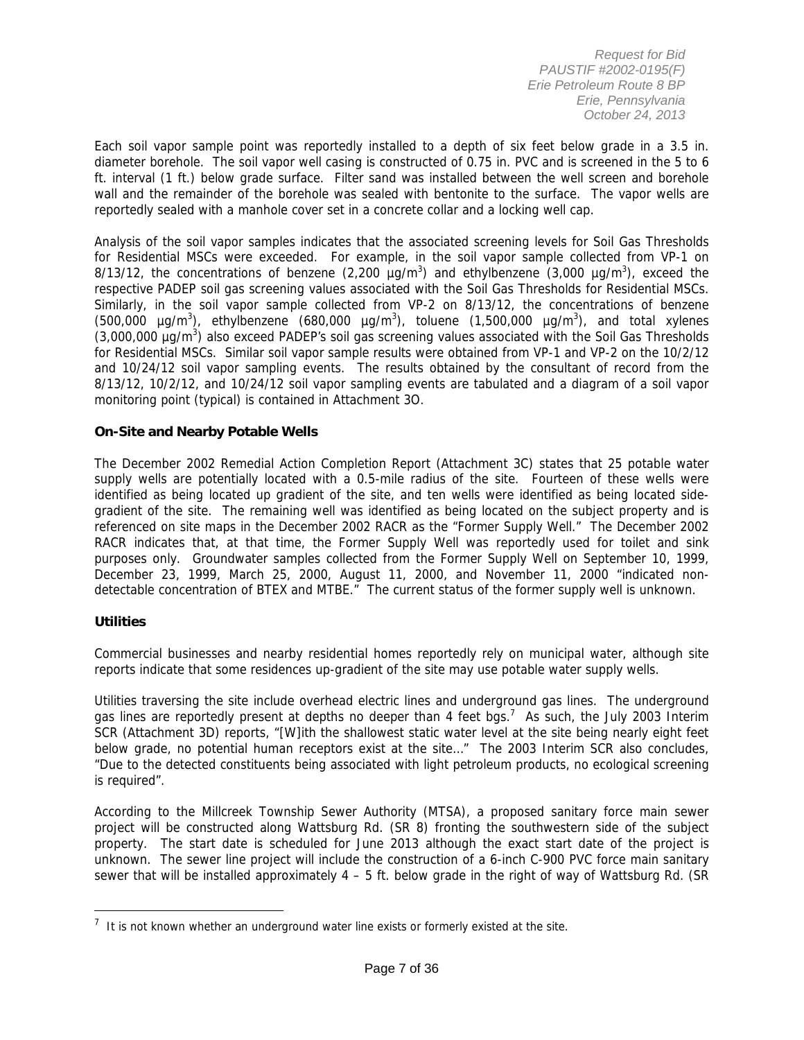Each soil vapor sample point was reportedly installed to a depth of six feet below grade in a 3.5 in. diameter borehole. The soil vapor well casing is constructed of 0.75 in. PVC and is screened in the 5 to 6 ft. interval (1 ft.) below grade surface. Filter sand was installed between the well screen and borehole wall and the remainder of the borehole was sealed with bentonite to the surface. The vapor wells are reportedly sealed with a manhole cover set in a concrete collar and a locking well cap.

Analysis of the soil vapor samples indicates that the associated screening levels for Soil Gas Thresholds for Residential MSCs were exceeded. For example, in the soil vapor sample collected from VP-1 on 8/13/12, the concentrations of benzene (2,200  $\mu$ g/m<sup>3</sup>) and ethylbenzene (3,000  $\mu$ g/m<sup>3</sup>), exceed the respective PADEP soil gas screening values associated with the Soil Gas Thresholds for Residential MSCs. Similarly, in the soil vapor sample collected from VP-2 on 8/13/12, the concentrations of benzene  $(500,000 \text{ µg/m}^3)$ , ethylbenzene  $(680,000 \text{ µg/m}^3)$ , toluene  $(1,500,000 \text{ µg/m}^3)$ , and total xylenes (3,000,000 µg/m<sup>3</sup>) also exceed PADEP's soil gas screening values associated with the Soil Gas Thresholds for Residential MSCs. Similar soil vapor sample results were obtained from VP-1 and VP-2 on the 10/2/12 and 10/24/12 soil vapor sampling events. The results obtained by the consultant of record from the 8/13/12, 10/2/12, and 10/24/12 soil vapor sampling events are tabulated and a diagram of a soil vapor monitoring point (typical) is contained in Attachment 3O.

#### **On-Site and Nearby Potable Wells**

The December 2002 Remedial Action Completion Report (Attachment 3C) states that 25 potable water supply wells are potentially located with a 0.5-mile radius of the site. Fourteen of these wells were identified as being located up gradient of the site, and ten wells were identified as being located sidegradient of the site. The remaining well was identified as being located on the subject property and is referenced on site maps in the December 2002 RACR as the "Former Supply Well." The December 2002 RACR indicates that, at that time, the Former Supply Well was reportedly used for toilet and sink purposes only. Groundwater samples collected from the Former Supply Well on September 10, 1999, December 23, 1999, March 25, 2000, August 11, 2000, and November 11, 2000 "indicated nondetectable concentration of BTEX and MTBE." The current status of the former supply well is unknown.

#### **Utilities**

 $\overline{a}$ 

Commercial businesses and nearby residential homes reportedly rely on municipal water, although site reports indicate that some residences up-gradient of the site may use potable water supply wells.

Utilities traversing the site include overhead electric lines and underground gas lines. The underground gas lines are reportedly present at depths no deeper than 4 feet bgs.<sup>7</sup> As such, the July 2003 Interim SCR (Attachment 3D) reports, "[W]ith the shallowest static water level at the site being nearly eight feet below grade, no potential human receptors exist at the site…" The 2003 Interim SCR also concludes, "Due to the detected constituents being associated with light petroleum products, no ecological screening is required".

According to the Millcreek Township Sewer Authority (MTSA), a proposed sanitary force main sewer project will be constructed along Wattsburg Rd. (SR 8) fronting the southwestern side of the subject property. The start date is scheduled for June 2013 although the exact start date of the project is unknown. The sewer line project will include the construction of a 6-inch C-900 PVC force main sanitary sewer that will be installed approximately 4 – 5 ft. below grade in the right of way of Wattsburg Rd. (SR

 $<sup>7</sup>$  It is not known whether an underground water line exists or formerly existed at the site.</sup>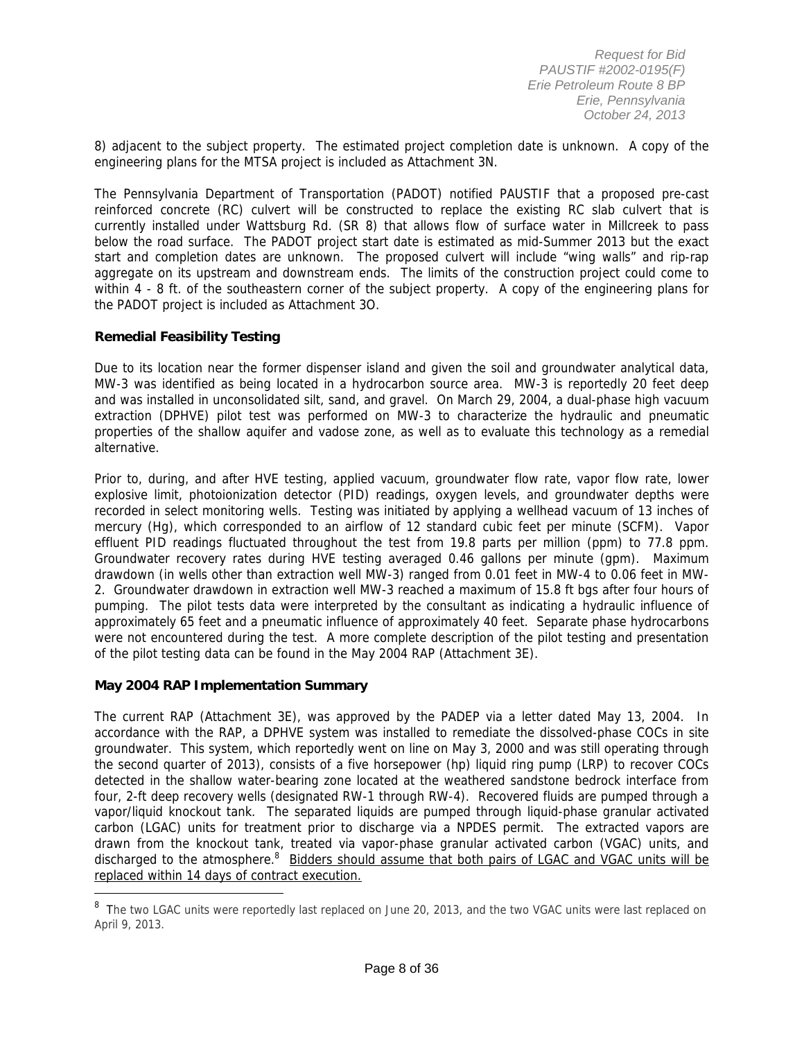8) adjacent to the subject property. The estimated project completion date is unknown. A copy of the engineering plans for the MTSA project is included as Attachment 3N.

The Pennsylvania Department of Transportation (PADOT) notified PAUSTIF that a proposed pre-cast reinforced concrete (RC) culvert will be constructed to replace the existing RC slab culvert that is currently installed under Wattsburg Rd. (SR 8) that allows flow of surface water in Millcreek to pass below the road surface. The PADOT project start date is estimated as mid-Summer 2013 but the exact start and completion dates are unknown. The proposed culvert will include "wing walls" and rip-rap aggregate on its upstream and downstream ends. The limits of the construction project could come to within 4 - 8 ft. of the southeastern corner of the subject property. A copy of the engineering plans for the PADOT project is included as Attachment 3O.

#### **Remedial Feasibility Testing**

Due to its location near the former dispenser island and given the soil and groundwater analytical data, MW-3 was identified as being located in a hydrocarbon source area. MW-3 is reportedly 20 feet deep and was installed in unconsolidated silt, sand, and gravel. On March 29, 2004, a dual-phase high vacuum extraction (DPHVE) pilot test was performed on MW-3 to characterize the hydraulic and pneumatic properties of the shallow aquifer and vadose zone, as well as to evaluate this technology as a remedial alternative.

Prior to, during, and after HVE testing, applied vacuum, groundwater flow rate, vapor flow rate, lower explosive limit, photoionization detector (PID) readings, oxygen levels, and groundwater depths were recorded in select monitoring wells. Testing was initiated by applying a wellhead vacuum of 13 inches of mercury (Hg), which corresponded to an airflow of 12 standard cubic feet per minute (SCFM). Vapor effluent PID readings fluctuated throughout the test from 19.8 parts per million (ppm) to 77.8 ppm. Groundwater recovery rates during HVE testing averaged 0.46 gallons per minute (gpm). Maximum drawdown (in wells other than extraction well MW-3) ranged from 0.01 feet in MW-4 to 0.06 feet in MW-2. Groundwater drawdown in extraction well MW-3 reached a maximum of 15.8 ft bgs after four hours of pumping. The pilot tests data were interpreted by the consultant as indicating a hydraulic influence of approximately 65 feet and a pneumatic influence of approximately 40 feet. Separate phase hydrocarbons were not encountered during the test. A more complete description of the pilot testing and presentation of the pilot testing data can be found in the May 2004 RAP (Attachment 3E).

#### **May 2004 RAP Implementation Summary**

 $\overline{a}$ 

The current RAP (Attachment 3E), was approved by the PADEP via a letter dated May 13, 2004. In accordance with the RAP, a DPHVE system was installed to remediate the dissolved-phase COCs in site groundwater. This system, which reportedly went on line on May 3, 2000 and was still operating through the second quarter of 2013), consists of a five horsepower (hp) liquid ring pump (LRP) to recover COCs detected in the shallow water-bearing zone located at the weathered sandstone bedrock interface from four, 2-ft deep recovery wells (designated RW-1 through RW-4). Recovered fluids are pumped through a vapor/liquid knockout tank. The separated liquids are pumped through liquid-phase granular activated carbon (LGAC) units for treatment prior to discharge via a NPDES permit. The extracted vapors are drawn from the knockout tank, treated via vapor-phase granular activated carbon (VGAC) units, and discharged to the atmosphere.<sup>8</sup> Bidders should assume that both pairs of LGAC and VGAC units will be replaced within 14 days of contract execution.

<sup>&</sup>lt;sup>8</sup> The two LGAC units were reportedly last replaced on June 20, 2013, and the two VGAC units were last replaced on April 9, 2013.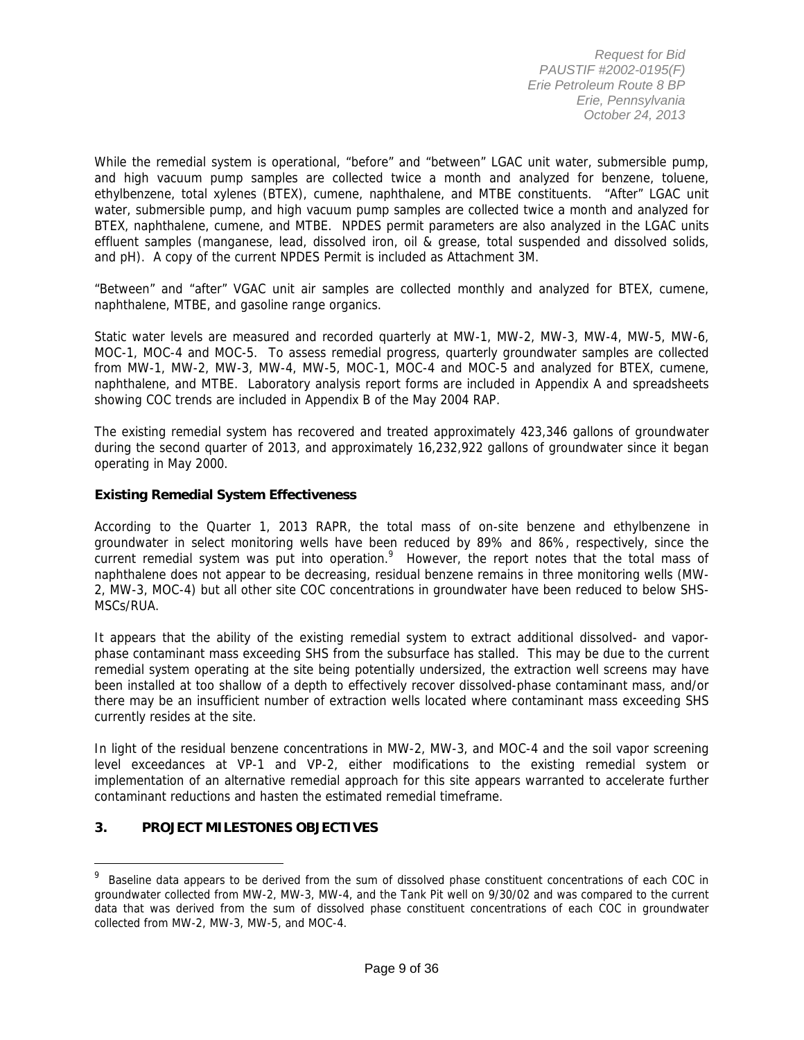While the remedial system is operational, "before" and "between" LGAC unit water, submersible pump, and high vacuum pump samples are collected twice a month and analyzed for benzene, toluene, ethylbenzene, total xylenes (BTEX), cumene, naphthalene, and MTBE constituents. "After" LGAC unit water, submersible pump, and high vacuum pump samples are collected twice a month and analyzed for BTEX, naphthalene, cumene, and MTBE. NPDES permit parameters are also analyzed in the LGAC units effluent samples (manganese, lead, dissolved iron, oil & grease, total suspended and dissolved solids, and pH). A copy of the current NPDES Permit is included as Attachment 3M.

"Between" and "after" VGAC unit air samples are collected monthly and analyzed for BTEX, cumene, naphthalene, MTBE, and gasoline range organics.

Static water levels are measured and recorded quarterly at MW-1, MW-2, MW-3, MW-4, MW-5, MW-6, MOC-1, MOC-4 and MOC-5. To assess remedial progress, quarterly groundwater samples are collected from MW-1, MW-2, MW-3, MW-4, MW-5, MOC-1, MOC-4 and MOC-5 and analyzed for BTEX, cumene, naphthalene, and MTBE. Laboratory analysis report forms are included in Appendix A and spreadsheets showing COC trends are included in Appendix B of the May 2004 RAP.

The existing remedial system has recovered and treated approximately 423,346 gallons of groundwater during the second quarter of 2013, and approximately 16,232,922 gallons of groundwater since it began operating in May 2000.

#### **Existing Remedial System Effectiveness**

According to the Quarter 1, 2013 RAPR, the total mass of on-site benzene and ethylbenzene in groundwater in select monitoring wells have been reduced by 89% and 86%, respectively, since the current remedial system was put into operation.<sup>9</sup> However, the report notes that the total mass of naphthalene does not appear to be decreasing, residual benzene remains in three monitoring wells (MW-2, MW-3, MOC-4) but all other site COC concentrations in groundwater have been reduced to below SHS-MSCs/RUA.

It appears that the ability of the existing remedial system to extract additional dissolved- and vaporphase contaminant mass exceeding SHS from the subsurface has stalled. This may be due to the current remedial system operating at the site being potentially undersized, the extraction well screens may have been installed at too shallow of a depth to effectively recover dissolved-phase contaminant mass, and/or there may be an insufficient number of extraction wells located where contaminant mass exceeding SHS currently resides at the site.

In light of the residual benzene concentrations in MW-2, MW-3, and MOC-4 and the soil vapor screening level exceedances at VP-1 and VP-2, either modifications to the existing remedial system or implementation of an alternative remedial approach for this site appears warranted to accelerate further contaminant reductions and hasten the estimated remedial timeframe.

#### **3. PROJECT MILESTONES OBJECTIVES**

<sup>&</sup>lt;sup>9</sup> Baseline data appears to be derived from the sum of dissolved phase constituent concentrations of each COC in groundwater collected from MW-2, MW-3, MW-4, and the Tank Pit well on 9/30/02 and was compared to the current data that was derived from the sum of dissolved phase constituent concentrations of each COC in groundwater collected from MW-2, MW-3, MW-5, and MOC-4.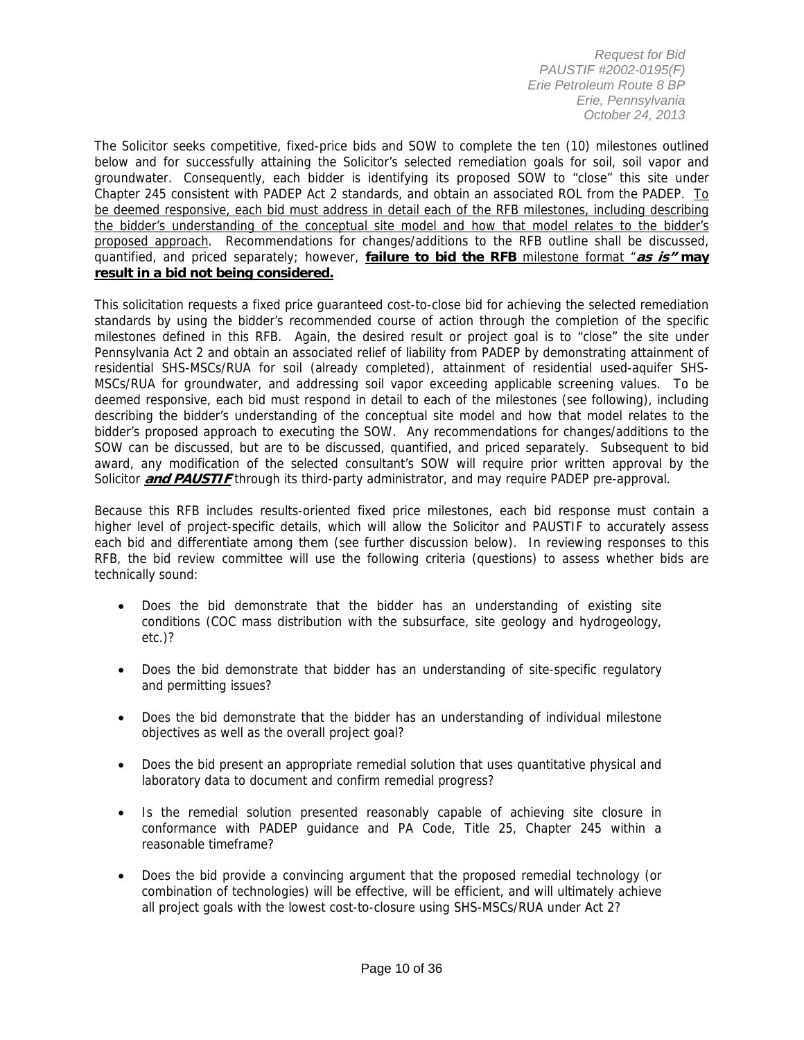The Solicitor seeks competitive, fixed-price bids and SOW to complete the ten (10) milestones outlined below and for successfully attaining the Solicitor's selected remediation goals for soil, soil vapor and groundwater. Consequently, each bidder is identifying its proposed SOW to "close" this site under Chapter 245 consistent with PADEP Act 2 standards, and obtain an associated ROL from the PADEP. To be deemed responsive, each bid must address in detail each of the RFB milestones, including describing the bidder's understanding of the conceptual site model and how that model relates to the bidder's proposed approach. Recommendations for changes/additions to the RFB outline shall be discussed, quantified, and priced separately; however, **failure to bid the RFB** milestone format "**as is" may result in a bid not being considered.**

This solicitation requests a fixed price guaranteed cost-to-close bid for achieving the selected remediation standards by using the bidder's recommended course of action through the completion of the specific milestones defined in this RFB. Again, the desired result or project goal is to "close" the site under Pennsylvania Act 2 and obtain an associated relief of liability from PADEP by demonstrating attainment of residential SHS-MSCs/RUA for soil (already completed), attainment of residential used-aquifer SHS-MSCs/RUA for groundwater, and addressing soil vapor exceeding applicable screening values. To be deemed responsive, each bid must respond in detail to each of the milestones (see following), including describing the bidder's understanding of the conceptual site model and how that model relates to the bidder's proposed approach to executing the SOW. Any recommendations for changes/additions to the SOW can be discussed, but are to be discussed, quantified, and priced separately. Subsequent to bid award, any modification of the selected consultant's SOW will require prior written approval by the Solicitor **and PAUSTIF** through its third-party administrator, and may require PADEP pre-approval.

Because this RFB includes results-oriented fixed price milestones, each bid response must contain a higher level of project-specific details, which will allow the Solicitor and PAUSTIF to accurately assess each bid and differentiate among them (see further discussion below). In reviewing responses to this RFB, the bid review committee will use the following criteria (questions) to assess whether bids are technically sound:

- Does the bid demonstrate that the bidder has an understanding of existing site conditions (COC mass distribution with the subsurface, site geology and hydrogeology, etc.)?
- Does the bid demonstrate that bidder has an understanding of site-specific regulatory and permitting issues?
- Does the bid demonstrate that the bidder has an understanding of individual milestone objectives as well as the overall project goal?
- Does the bid present an appropriate remedial solution that uses quantitative physical and laboratory data to document and confirm remedial progress?
- Is the remedial solution presented reasonably capable of achieving site closure in conformance with PADEP guidance and PA Code, Title 25, Chapter 245 within a reasonable timeframe?
- Does the bid provide a convincing argument that the proposed remedial technology (or combination of technologies) will be effective, will be efficient, and will ultimately achieve all project goals with the lowest cost-to-closure using SHS-MSCs/RUA under Act 2?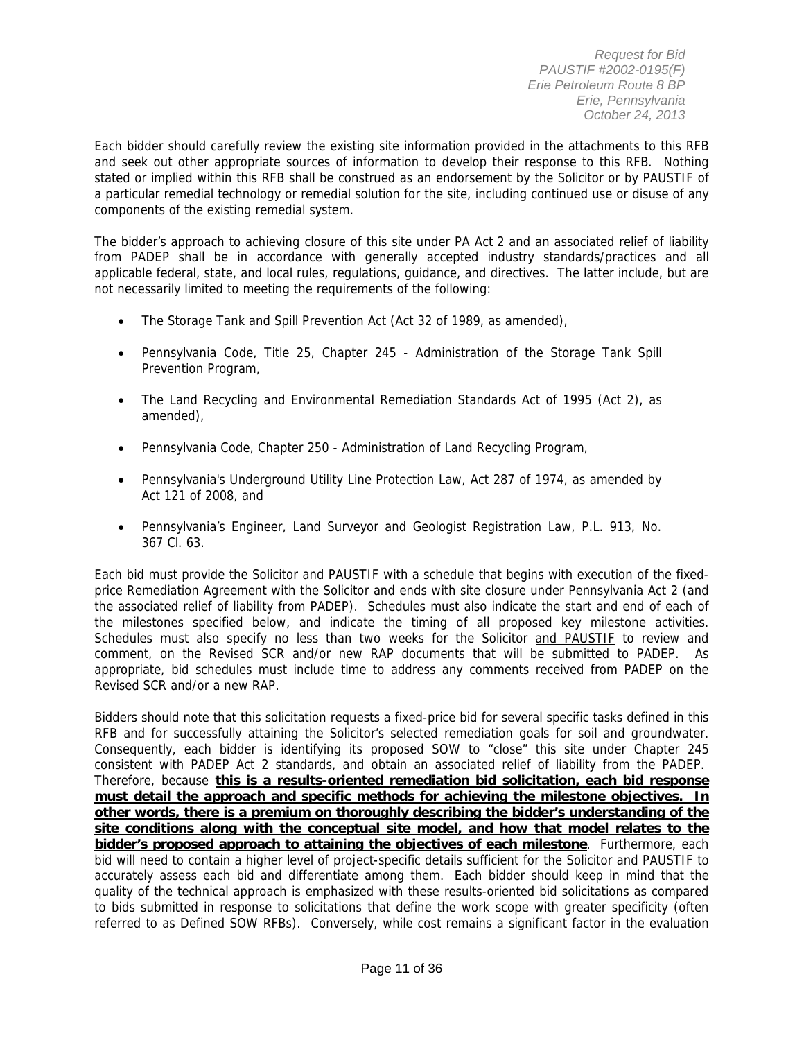Each bidder should carefully review the existing site information provided in the attachments to this RFB and seek out other appropriate sources of information to develop their response to this RFB. Nothing stated or implied within this RFB shall be construed as an endorsement by the Solicitor or by PAUSTIF of a particular remedial technology or remedial solution for the site, including continued use or disuse of any components of the existing remedial system.

The bidder's approach to achieving closure of this site under PA Act 2 and an associated relief of liability from PADEP shall be in accordance with generally accepted industry standards/practices and all applicable federal, state, and local rules, regulations, guidance, and directives. The latter include, but are not necessarily limited to meeting the requirements of the following:

- The Storage Tank and Spill Prevention Act (Act 32 of 1989, as amended),
- Pennsylvania Code, Title 25, Chapter 245 Administration of the Storage Tank Spill Prevention Program,
- The Land Recycling and Environmental Remediation Standards Act of 1995 (Act 2), as amended),
- Pennsylvania Code, Chapter 250 Administration of Land Recycling Program,
- Pennsylvania's Underground Utility Line Protection Law, Act 287 of 1974, as amended by Act 121 of 2008, and
- Pennsylvania's Engineer, Land Surveyor and Geologist Registration Law, P.L. 913, No. 367 Cl. 63.

Each bid must provide the Solicitor and PAUSTIF with a schedule that begins with execution of the fixedprice Remediation Agreement with the Solicitor and ends with site closure under Pennsylvania Act 2 (and the associated relief of liability from PADEP). Schedules must also indicate the start and end of each of the milestones specified below, and indicate the timing of all proposed key milestone activities. Schedules must also specify no less than two weeks for the Solicitor and PAUSTIF to review and comment, on the Revised SCR and/or new RAP documents that will be submitted to PADEP. As appropriate, bid schedules must include time to address any comments received from PADEP on the Revised SCR and/or a new RAP.

Bidders should note that this solicitation requests a fixed-price bid for several specific tasks defined in this RFB and for successfully attaining the Solicitor's selected remediation goals for soil and groundwater. Consequently, each bidder is identifying its proposed SOW to "close" this site under Chapter 245 consistent with PADEP Act 2 standards, and obtain an associated relief of liability from the PADEP. Therefore, because **this is a results-oriented remediation bid solicitation, each bid response must detail the approach and specific methods for achieving the milestone objectives. In other words, there is a premium on thoroughly describing the bidder's understanding of the site conditions along with the conceptual site model, and how that model relates to the bidder's proposed approach to attaining the objectives of each milestone**. Furthermore, each bid will need to contain a higher level of project-specific details sufficient for the Solicitor and PAUSTIF to accurately assess each bid and differentiate among them. Each bidder should keep in mind that the quality of the technical approach is emphasized with these results-oriented bid solicitations as compared to bids submitted in response to solicitations that define the work scope with greater specificity (often referred to as Defined SOW RFBs). Conversely, while cost remains a significant factor in the evaluation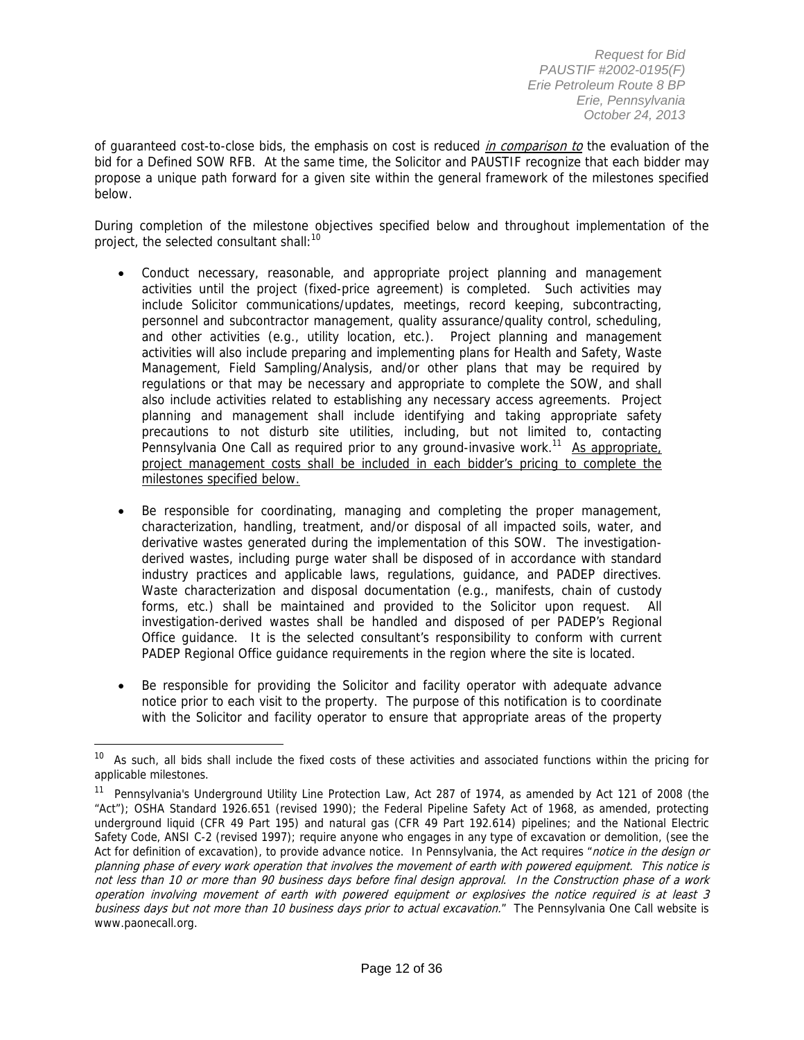of guaranteed cost-to-close bids, the emphasis on cost is reduced *in comparison to* the evaluation of the bid for a Defined SOW RFB. At the same time, the Solicitor and PAUSTIF recognize that each bidder may propose a unique path forward for a given site within the general framework of the milestones specified below.

During completion of the milestone objectives specified below and throughout implementation of the project, the selected consultant shall:<sup>10</sup>

- Conduct necessary, reasonable, and appropriate project planning and management activities until the project (fixed-price agreement) is completed. Such activities may include Solicitor communications/updates, meetings, record keeping, subcontracting, personnel and subcontractor management, quality assurance/quality control, scheduling, and other activities (e.g., utility location, etc.). Project planning and management activities will also include preparing and implementing plans for Health and Safety, Waste Management, Field Sampling/Analysis, and/or other plans that may be required by regulations or that may be necessary and appropriate to complete the SOW, and shall also include activities related to establishing any necessary access agreements. Project planning and management shall include identifying and taking appropriate safety precautions to not disturb site utilities, including, but not limited to, contacting Pennsylvania One Call as required prior to any ground-invasive work.<sup>11</sup> As appropriate, project management costs shall be included in each bidder's pricing to complete the milestones specified below.
- Be responsible for coordinating, managing and completing the proper management, characterization, handling, treatment, and/or disposal of all impacted soils, water, and derivative wastes generated during the implementation of this SOW. The investigationderived wastes, including purge water shall be disposed of in accordance with standard industry practices and applicable laws, regulations, guidance, and PADEP directives. Waste characterization and disposal documentation (e.g., manifests, chain of custody forms, etc.) shall be maintained and provided to the Solicitor upon request. All investigation-derived wastes shall be handled and disposed of per PADEP's Regional Office guidance. It is the selected consultant's responsibility to conform with current PADEP Regional Office guidance requirements in the region where the site is located.
- Be responsible for providing the Solicitor and facility operator with adequate advance notice prior to each visit to the property. The purpose of this notification is to coordinate with the Solicitor and facility operator to ensure that appropriate areas of the property

As such, all bids shall include the fixed costs of these activities and associated functions within the pricing for applicable milestones.

<sup>&</sup>lt;sup>11</sup> Pennsylvania's Underground Utility Line Protection Law, Act 287 of 1974, as amended by Act 121 of 2008 (the "Act"); OSHA Standard 1926.651 (revised 1990); the Federal Pipeline Safety Act of 1968, as amended, protecting underground liquid (CFR 49 Part 195) and natural gas (CFR 49 Part 192.614) pipelines; and the National Electric Safety Code, ANSI C-2 (revised 1997); require anyone who engages in any type of excavation or demolition, (see the Act for definition of excavation), to provide advance notice. In Pennsylvania, the Act requires "notice in the design or planning phase of every work operation that involves the movement of earth with powered equipment. This notice is not less than 10 or more than 90 business days before final design approval. In the Construction phase of a work operation involving movement of earth with powered equipment or explosives the notice required is at least 3 business days but not more than 10 business days prior to actual excavation." The Pennsylvania One Call website is www.paonecall.org.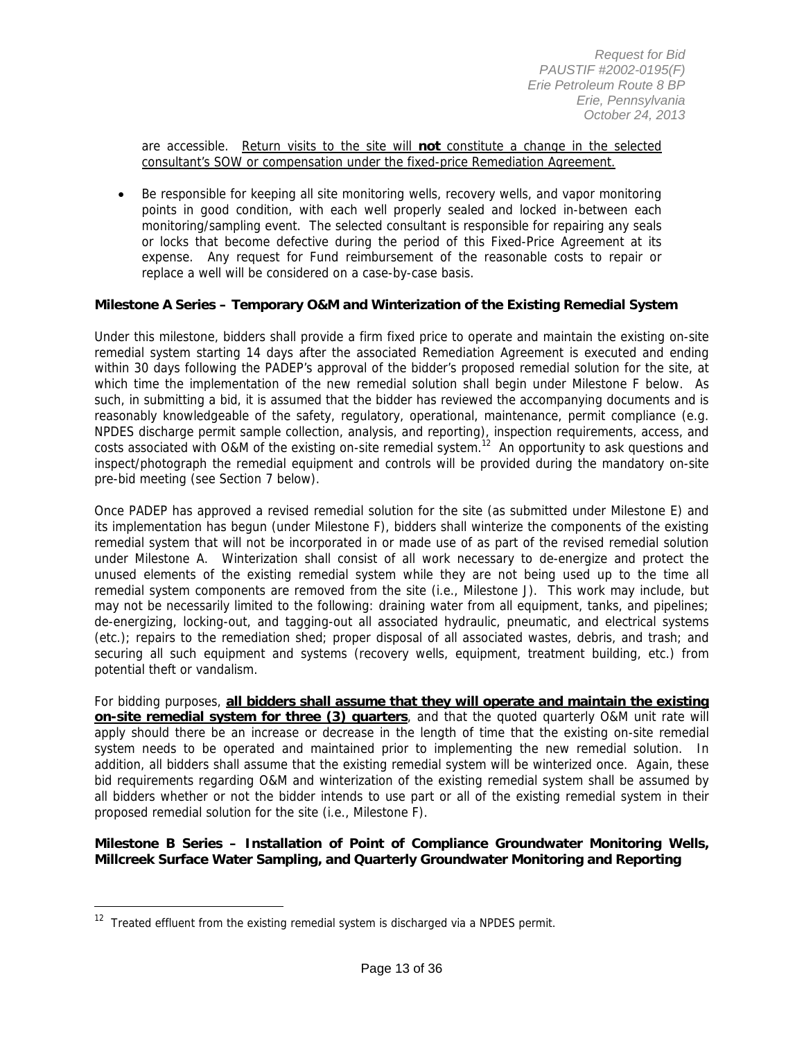are accessible. Return visits to the site will **not** constitute a change in the selected consultant's SOW or compensation under the fixed-price Remediation Agreement.

 Be responsible for keeping all site monitoring wells, recovery wells, and vapor monitoring points in good condition, with each well properly sealed and locked in-between each monitoring/sampling event. The selected consultant is responsible for repairing any seals or locks that become defective during the period of this Fixed-Price Agreement at its expense. Any request for Fund reimbursement of the reasonable costs to repair or replace a well will be considered on a case-by-case basis.

#### **Milestone A Series – Temporary O&M and Winterization of the Existing Remedial System**

Under this milestone, bidders shall provide a firm fixed price to operate and maintain the existing on-site remedial system starting 14 days after the associated Remediation Agreement is executed and ending within 30 days following the PADEP's approval of the bidder's proposed remedial solution for the site, at which time the implementation of the new remedial solution shall begin under Milestone F below. As such, in submitting a bid, it is assumed that the bidder has reviewed the accompanying documents and is reasonably knowledgeable of the safety, regulatory, operational, maintenance, permit compliance (e.g. NPDES discharge permit sample collection, analysis, and reporting), inspection requirements, access, and costs associated with O&M of the existing on-site remedial system.<sup>12</sup> An opportunity to ask questions and inspect/photograph the remedial equipment and controls will be provided during the mandatory on-site pre-bid meeting (see Section 7 below).

Once PADEP has approved a revised remedial solution for the site (as submitted under Milestone E) and its implementation has begun (under Milestone F), bidders shall winterize the components of the existing remedial system that will not be incorporated in or made use of as part of the revised remedial solution under Milestone A. Winterization shall consist of all work necessary to de-energize and protect the unused elements of the existing remedial system while they are not being used up to the time all remedial system components are removed from the site (i.e., Milestone J). This work may include, but may not be necessarily limited to the following: draining water from all equipment, tanks, and pipelines; de-energizing, locking-out, and tagging-out all associated hydraulic, pneumatic, and electrical systems (etc.); repairs to the remediation shed; proper disposal of all associated wastes, debris, and trash; and securing all such equipment and systems (recovery wells, equipment, treatment building, etc.) from potential theft or vandalism.

For bidding purposes, **all bidders shall assume that they will operate and maintain the existing on-site remedial system for three (3) quarters**, and that the quoted quarterly O&M unit rate will apply should there be an increase or decrease in the length of time that the existing on-site remedial system needs to be operated and maintained prior to implementing the new remedial solution. In addition, all bidders shall assume that the existing remedial system will be winterized once. Again, these bid requirements regarding O&M and winterization of the existing remedial system shall be assumed by all bidders whether or not the bidder intends to use part or all of the existing remedial system in their proposed remedial solution for the site (i.e., Milestone F).

#### **Milestone B Series – Installation of Point of Compliance Groundwater Monitoring Wells, Millcreek Surface Water Sampling, and Quarterly Groundwater Monitoring and Reporting**

 $12$  Treated effluent from the existing remedial system is discharged via a NPDES permit.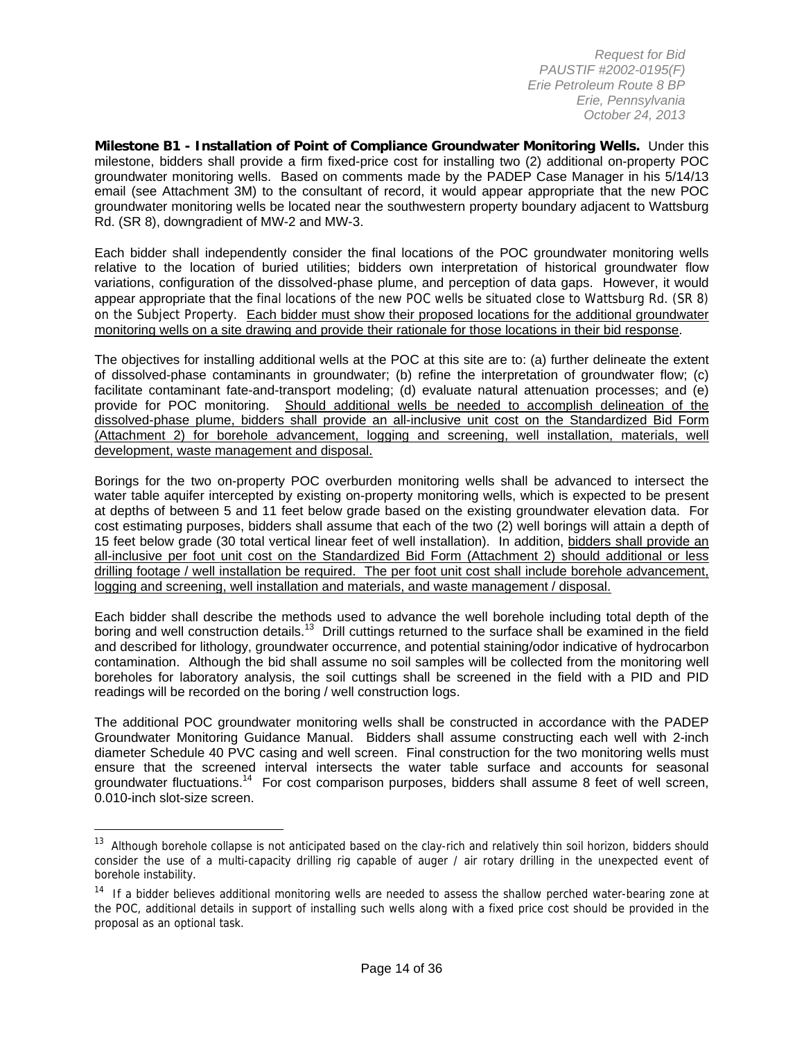**Milestone B1 - Installation of Point of Compliance Groundwater Monitoring Wells.** Under this milestone, bidders shall provide a firm fixed-price cost for installing two (2) additional on-property POC groundwater monitoring wells. Based on comments made by the PADEP Case Manager in his 5/14/13 email (see Attachment 3M) to the consultant of record, it would appear appropriate that the new POC groundwater monitoring wells be located near the southwestern property boundary adjacent to Wattsburg Rd. (SR 8), downgradient of MW-2 and MW-3.

Each bidder shall independently consider the final locations of the POC groundwater monitoring wells relative to the location of buried utilities; bidders own interpretation of historical groundwater flow variations, configuration of the dissolved-phase plume, and perception of data gaps. However, it would appear appropriate that the final locations of the new POC wells be situated close to Wattsburg Rd. (SR 8) on the Subject Property. Each bidder must show their proposed locations for the additional groundwater monitoring wells on a site drawing and provide their rationale for those locations in their bid response.

The objectives for installing additional wells at the POC at this site are to: (a) further delineate the extent of dissolved-phase contaminants in groundwater; (b) refine the interpretation of groundwater flow; (c) facilitate contaminant fate-and-transport modeling; (d) evaluate natural attenuation processes; and (e) provide for POC monitoring. Should additional wells be needed to accomplish delineation of the dissolved-phase plume, bidders shall provide an all-inclusive unit cost on the Standardized Bid Form (Attachment 2) for borehole advancement, logging and screening, well installation, materials, well development, waste management and disposal.

Borings for the two on-property POC overburden monitoring wells shall be advanced to intersect the water table aquifer intercepted by existing on-property monitoring wells, which is expected to be present at depths of between 5 and 11 feet below grade based on the existing groundwater elevation data. For cost estimating purposes, bidders shall assume that each of the two (2) well borings will attain a depth of 15 feet below grade (30 total vertical linear feet of well installation). In addition, bidders shall provide an all-inclusive per foot unit cost on the Standardized Bid Form (Attachment 2) should additional or less drilling footage / well installation be required. The per foot unit cost shall include borehole advancement, logging and screening, well installation and materials, and waste management / disposal.

Each bidder shall describe the methods used to advance the well borehole including total depth of the boring and well construction details.<sup>13</sup> Drill cuttings returned to the surface shall be examined in the field and described for lithology, groundwater occurrence, and potential staining/odor indicative of hydrocarbon contamination. Although the bid shall assume no soil samples will be collected from the monitoring well boreholes for laboratory analysis, the soil cuttings shall be screened in the field with a PID and PID readings will be recorded on the boring / well construction logs.

The additional POC groundwater monitoring wells shall be constructed in accordance with the PADEP Groundwater Monitoring Guidance Manual. Bidders shall assume constructing each well with 2-inch diameter Schedule 40 PVC casing and well screen. Final construction for the two monitoring wells must ensure that the screened interval intersects the water table surface and accounts for seasonal groundwater fluctuations.<sup>14</sup> For cost comparison purposes, bidders shall assume 8 feet of well screen, 0.010-inch slot-size screen.

<sup>&</sup>lt;sup>13</sup> Although borehole collapse is not anticipated based on the clay-rich and relatively thin soil horizon, bidders should consider the use of a multi-capacity drilling rig capable of auger / air rotary drilling in the unexpected event of borehole instability.

<sup>&</sup>lt;sup>14</sup> If a bidder believes additional monitoring wells are needed to assess the shallow perched water-bearing zone at the POC, additional details in support of installing such wells along with a fixed price cost should be provided in the proposal as an optional task.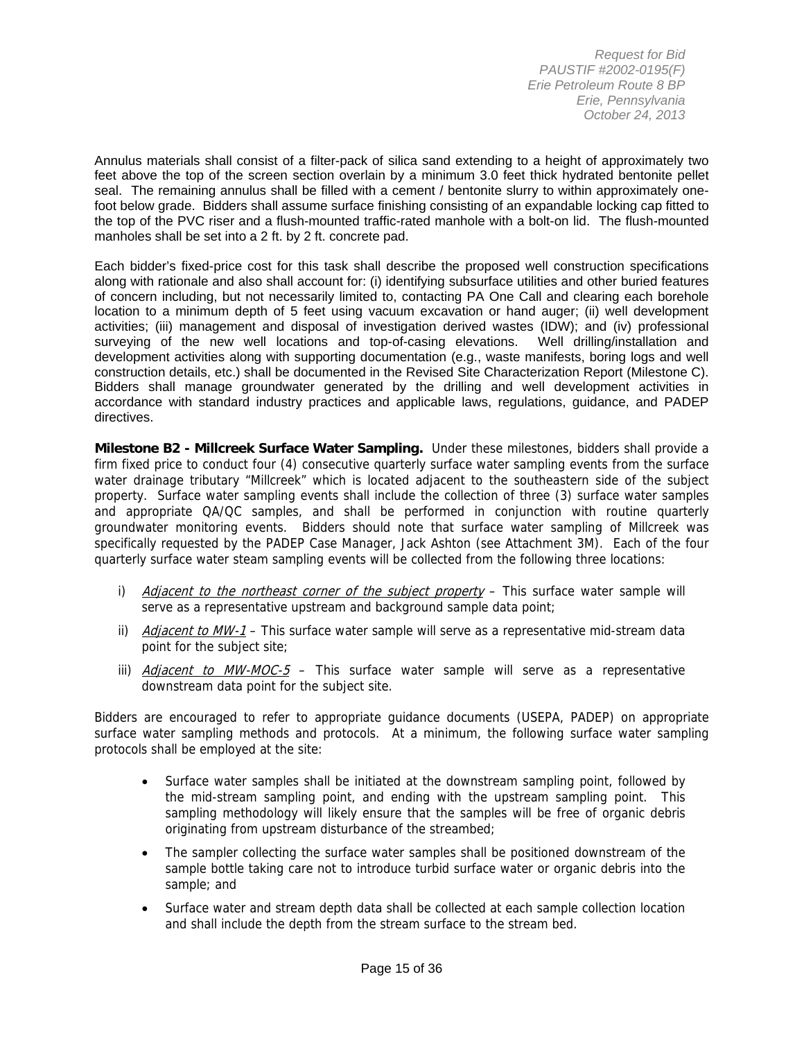Annulus materials shall consist of a filter-pack of silica sand extending to a height of approximately two feet above the top of the screen section overlain by a minimum 3.0 feet thick hydrated bentonite pellet seal. The remaining annulus shall be filled with a cement / bentonite slurry to within approximately onefoot below grade. Bidders shall assume surface finishing consisting of an expandable locking cap fitted to the top of the PVC riser and a flush-mounted traffic-rated manhole with a bolt-on lid. The flush-mounted manholes shall be set into a 2 ft. by 2 ft. concrete pad.

Each bidder's fixed-price cost for this task shall describe the proposed well construction specifications along with rationale and also shall account for: (i) identifying subsurface utilities and other buried features of concern including, but not necessarily limited to, contacting PA One Call and clearing each borehole location to a minimum depth of 5 feet using vacuum excavation or hand auger; (ii) well development activities; (iii) management and disposal of investigation derived wastes (IDW); and (iv) professional surveying of the new well locations and top-of-casing elevations. Well drilling/installation and development activities along with supporting documentation (e.g., waste manifests, boring logs and well construction details, etc.) shall be documented in the Revised Site Characterization Report (Milestone C). Bidders shall manage groundwater generated by the drilling and well development activities in accordance with standard industry practices and applicable laws, regulations, guidance, and PADEP directives.

**Milestone B2 - Millcreek Surface Water Sampling.** Under these milestones, bidders shall provide a firm fixed price to conduct four (4) consecutive quarterly surface water sampling events from the surface water drainage tributary "Millcreek" which is located adjacent to the southeastern side of the subject property. Surface water sampling events shall include the collection of three (3) surface water samples and appropriate QA/QC samples, and shall be performed in conjunction with routine quarterly groundwater monitoring events. Bidders should note that surface water sampling of Millcreek was specifically requested by the PADEP Case Manager, Jack Ashton (see Attachment 3M). Each of the four quarterly surface water steam sampling events will be collected from the following three locations:

- i) *Adjacent to the northeast corner of the subject property* This surface water sample will serve as a representative upstream and background sample data point;
- ii) Adjacent to MW-1 This surface water sample will serve as a representative mid-stream data point for the subject site;
- iii) *Adjacent to MW-MOC-5* This surface water sample will serve as a representative downstream data point for the subject site.

Bidders are encouraged to refer to appropriate guidance documents (USEPA, PADEP) on appropriate surface water sampling methods and protocols. At a minimum, the following surface water sampling protocols shall be employed at the site:

- Surface water samples shall be initiated at the downstream sampling point, followed by the mid-stream sampling point, and ending with the upstream sampling point. This sampling methodology will likely ensure that the samples will be free of organic debris originating from upstream disturbance of the streambed;
- The sampler collecting the surface water samples shall be positioned downstream of the sample bottle taking care not to introduce turbid surface water or organic debris into the sample; and
- Surface water and stream depth data shall be collected at each sample collection location and shall include the depth from the stream surface to the stream bed.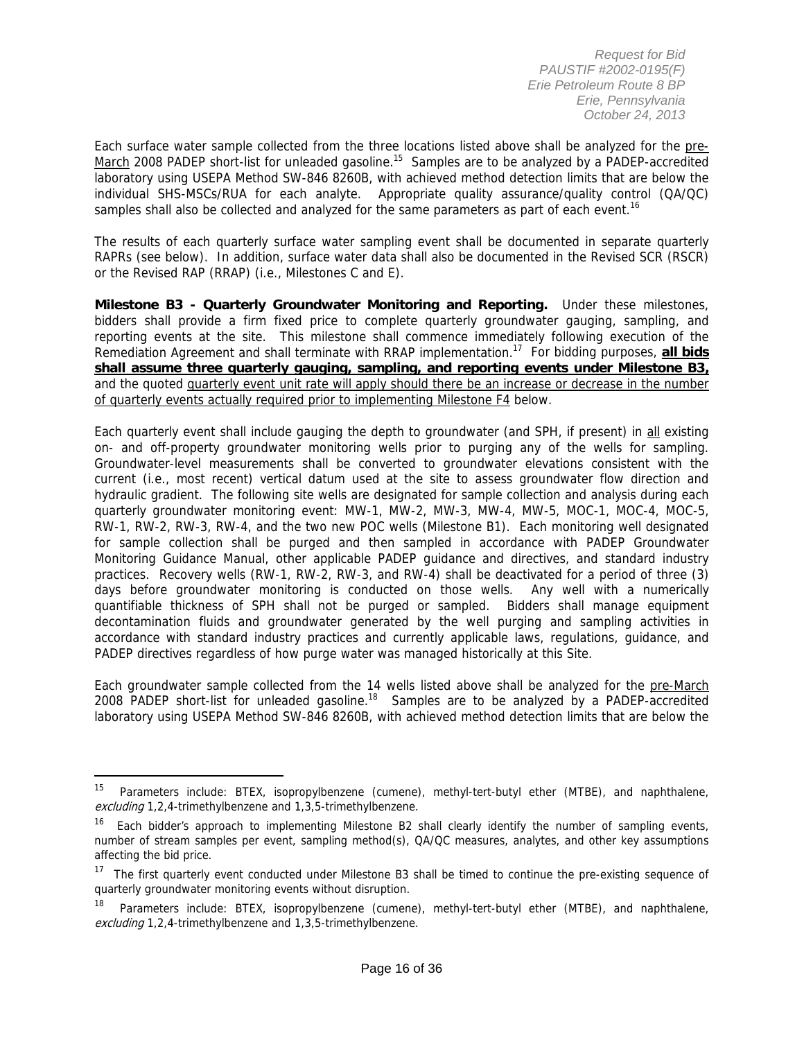Each surface water sample collected from the three locations listed above shall be analyzed for the pre-March 2008 PADEP short-list for unleaded gasoline.<sup>15</sup> Samples are to be analyzed by a PADEP-accredited laboratory using USEPA Method SW-846 8260B, with achieved method detection limits that are below the individual SHS-MSCs/RUA for each analyte. Appropriate quality assurance/quality control (QA/QC) samples shall also be collected and analyzed for the same parameters as part of each event.<sup>16</sup>

The results of each quarterly surface water sampling event shall be documented in separate quarterly RAPRs (see below). In addition, surface water data shall also be documented in the Revised SCR (RSCR) or the Revised RAP (RRAP) (i.e., Milestones C and E).

**Milestone B3 - Quarterly Groundwater Monitoring and Reporting.** Under these milestones, bidders shall provide a firm fixed price to complete quarterly groundwater gauging, sampling, and reporting events at the site. This milestone shall commence immediately following execution of the Remediation Agreement and shall terminate with RRAP implementation.17 For bidding purposes, **all bids shall assume three quarterly gauging, sampling, and reporting events under Milestone B3,** and the quoted quarterly event unit rate will apply should there be an increase or decrease in the number of quarterly events actually required prior to implementing Milestone F4 below.

Each quarterly event shall include gauging the depth to groundwater (and SPH, if present) in all existing on- and off-property groundwater monitoring wells prior to purging any of the wells for sampling. Groundwater-level measurements shall be converted to groundwater elevations consistent with the current (i.e., most recent) vertical datum used at the site to assess groundwater flow direction and hydraulic gradient. The following site wells are designated for sample collection and analysis during each quarterly groundwater monitoring event: MW-1, MW-2, MW-3, MW-4, MW-5, MOC-1, MOC-4, MOC-5, RW-1, RW-2, RW-3, RW-4, and the two new POC wells (Milestone B1). Each monitoring well designated for sample collection shall be purged and then sampled in accordance with PADEP Groundwater Monitoring Guidance Manual, other applicable PADEP guidance and directives, and standard industry practices. Recovery wells (RW-1, RW-2, RW-3, and RW-4) shall be deactivated for a period of three (3) days before groundwater monitoring is conducted on those wells. Any well with a numerically quantifiable thickness of SPH shall not be purged or sampled. Bidders shall manage equipment decontamination fluids and groundwater generated by the well purging and sampling activities in accordance with standard industry practices and currently applicable laws, regulations, guidance, and PADEP directives regardless of how purge water was managed historically at this Site.

Each groundwater sample collected from the 14 wells listed above shall be analyzed for the pre-March 2008 PADEP short-list for unleaded gasoline.18 Samples are to be analyzed by a PADEP-accredited laboratory using USEPA Method SW-846 8260B, with achieved method detection limits that are below the

<sup>&</sup>lt;sup>15</sup> Parameters include: BTEX, isopropylbenzene (cumene), methyl-tert-butyl ether (MTBE), and naphthalene, excluding 1,2,4-trimethylbenzene and 1,3,5-trimethylbenzene.

<sup>&</sup>lt;sup>16</sup> Each bidder's approach to implementing Milestone B2 shall clearly identify the number of sampling events, number of stream samples per event, sampling method(s), QA/QC measures, analytes, and other key assumptions affecting the bid price.

 $17$  The first quarterly event conducted under Milestone B3 shall be timed to continue the pre-existing sequence of quarterly groundwater monitoring events without disruption.

<sup>18</sup> Parameters include: BTEX, isopropylbenzene (cumene), methyl-tert-butyl ether (MTBE), and naphthalene, excluding 1,2,4-trimethylbenzene and 1,3,5-trimethylbenzene.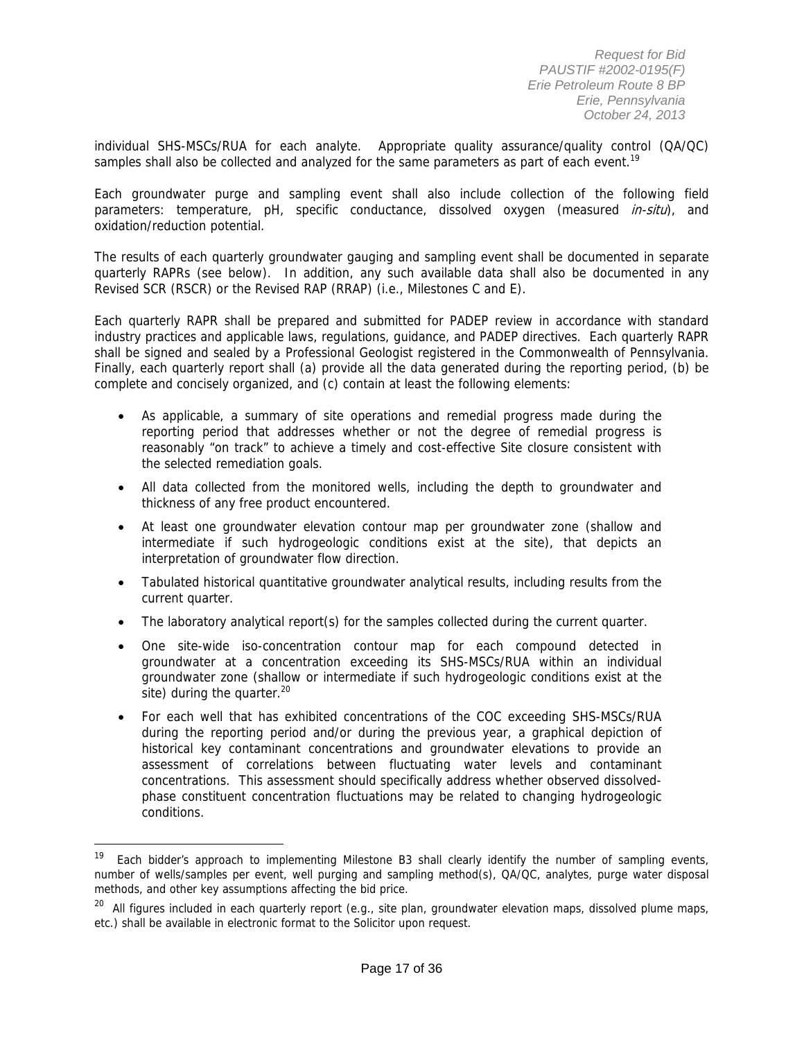individual SHS-MSCs/RUA for each analyte. Appropriate quality assurance/quality control (QA/QC) samples shall also be collected and analyzed for the same parameters as part of each event.<sup>19</sup>

Each groundwater purge and sampling event shall also include collection of the following field parameters: temperature, pH, specific conductance, dissolved oxygen (measured *in-situ*), and oxidation/reduction potential.

The results of each quarterly groundwater gauging and sampling event shall be documented in separate quarterly RAPRs (see below). In addition, any such available data shall also be documented in any Revised SCR (RSCR) or the Revised RAP (RRAP) (i.e., Milestones C and E).

Each quarterly RAPR shall be prepared and submitted for PADEP review in accordance with standard industry practices and applicable laws, regulations, guidance, and PADEP directives. Each quarterly RAPR shall be signed and sealed by a Professional Geologist registered in the Commonwealth of Pennsylvania. Finally, each quarterly report shall (a) provide all the data generated during the reporting period, (b) be complete and concisely organized, and (c) contain at least the following elements:

- As applicable, a summary of site operations and remedial progress made during the reporting period that addresses whether or not the degree of remedial progress is reasonably "on track" to achieve a timely and cost-effective Site closure consistent with the selected remediation goals.
- All data collected from the monitored wells, including the depth to groundwater and thickness of any free product encountered.
- At least one groundwater elevation contour map per groundwater zone (shallow and intermediate if such hydrogeologic conditions exist at the site), that depicts an interpretation of groundwater flow direction.
- Tabulated historical quantitative groundwater analytical results, including results from the current quarter.
- The laboratory analytical report(s) for the samples collected during the current quarter.
- One site-wide iso-concentration contour map for each compound detected in groundwater at a concentration exceeding its SHS-MSCs/RUA within an individual groundwater zone (shallow or intermediate if such hydrogeologic conditions exist at the site) during the quarter. $20$
- For each well that has exhibited concentrations of the COC exceeding SHS-MSCs/RUA during the reporting period and/or during the previous year, a graphical depiction of historical key contaminant concentrations and groundwater elevations to provide an assessment of correlations between fluctuating water levels and contaminant concentrations. This assessment should specifically address whether observed dissolvedphase constituent concentration fluctuations may be related to changing hydrogeologic conditions.

Each bidder's approach to implementing Milestone B3 shall clearly identify the number of sampling events, number of wells/samples per event, well purging and sampling method(s), QA/QC, analytes, purge water disposal methods, and other key assumptions affecting the bid price.

<sup>&</sup>lt;sup>20</sup> All figures included in each quarterly report (e.g., site plan, groundwater elevation maps, dissolved plume maps, etc.) shall be available in electronic format to the Solicitor upon request.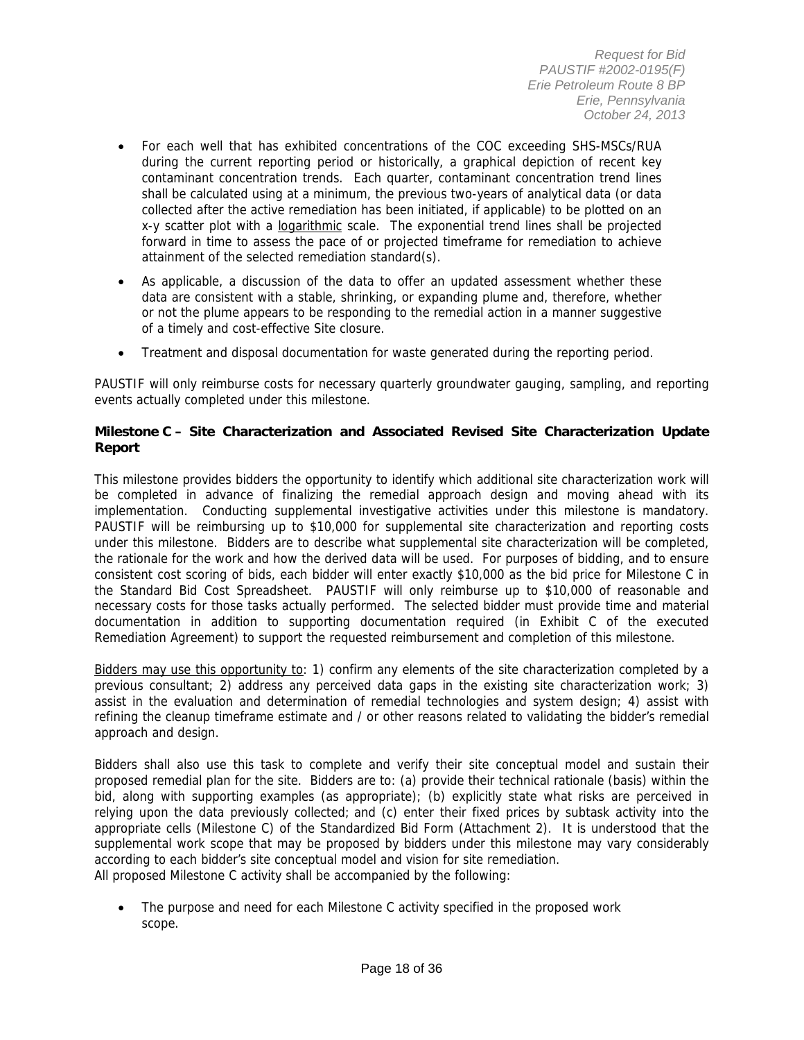- For each well that has exhibited concentrations of the COC exceeding SHS-MSCs/RUA during the current reporting period or historically, a graphical depiction of recent key contaminant concentration trends. Each quarter, contaminant concentration trend lines shall be calculated using at a minimum, the previous two-years of analytical data (or data collected after the active remediation has been initiated, if applicable) to be plotted on an x-y scatter plot with a logarithmic scale. The exponential trend lines shall be projected forward in time to assess the pace of or projected timeframe for remediation to achieve attainment of the selected remediation standard(s).
- As applicable, a discussion of the data to offer an updated assessment whether these data are consistent with a stable, shrinking, or expanding plume and, therefore, whether or not the plume appears to be responding to the remedial action in a manner suggestive of a timely and cost-effective Site closure.
- Treatment and disposal documentation for waste generated during the reporting period.

PAUSTIF will only reimburse costs for necessary quarterly groundwater gauging, sampling, and reporting events actually completed under this milestone.

### **Milestone C – Site Characterization and Associated Revised Site Characterization Update Report**

This milestone provides bidders the opportunity to identify which additional site characterization work will be completed in advance of finalizing the remedial approach design and moving ahead with its implementation. Conducting supplemental investigative activities under this milestone is mandatory. PAUSTIF will be reimbursing up to \$10,000 for supplemental site characterization and reporting costs under this milestone. Bidders are to describe what supplemental site characterization will be completed, the rationale for the work and how the derived data will be used. For purposes of bidding, and to ensure consistent cost scoring of bids, each bidder will enter exactly \$10,000 as the bid price for Milestone C in the Standard Bid Cost Spreadsheet. PAUSTIF will only reimburse up to \$10,000 of reasonable and necessary costs for those tasks actually performed. The selected bidder must provide time and material documentation in addition to supporting documentation required (in Exhibit C of the executed Remediation Agreement) to support the requested reimbursement and completion of this milestone.

Bidders may use this opportunity to: 1) confirm any elements of the site characterization completed by a previous consultant; 2) address any perceived data gaps in the existing site characterization work; 3) assist in the evaluation and determination of remedial technologies and system design; 4) assist with refining the cleanup timeframe estimate and / or other reasons related to validating the bidder's remedial approach and design.

Bidders shall also use this task to complete and verify their site conceptual model and sustain their proposed remedial plan for the site. Bidders are to: (a) provide their technical rationale (basis) within the bid, along with supporting examples (as appropriate); (b) explicitly state what risks are perceived in relying upon the data previously collected; and (c) enter their fixed prices by subtask activity into the appropriate cells (Milestone C) of the Standardized Bid Form (Attachment 2). It is understood that the supplemental work scope that may be proposed by bidders under this milestone may vary considerably according to each bidder's site conceptual model and vision for site remediation. All proposed Milestone C activity shall be accompanied by the following:

 The purpose and need for each Milestone C activity specified in the proposed work scope.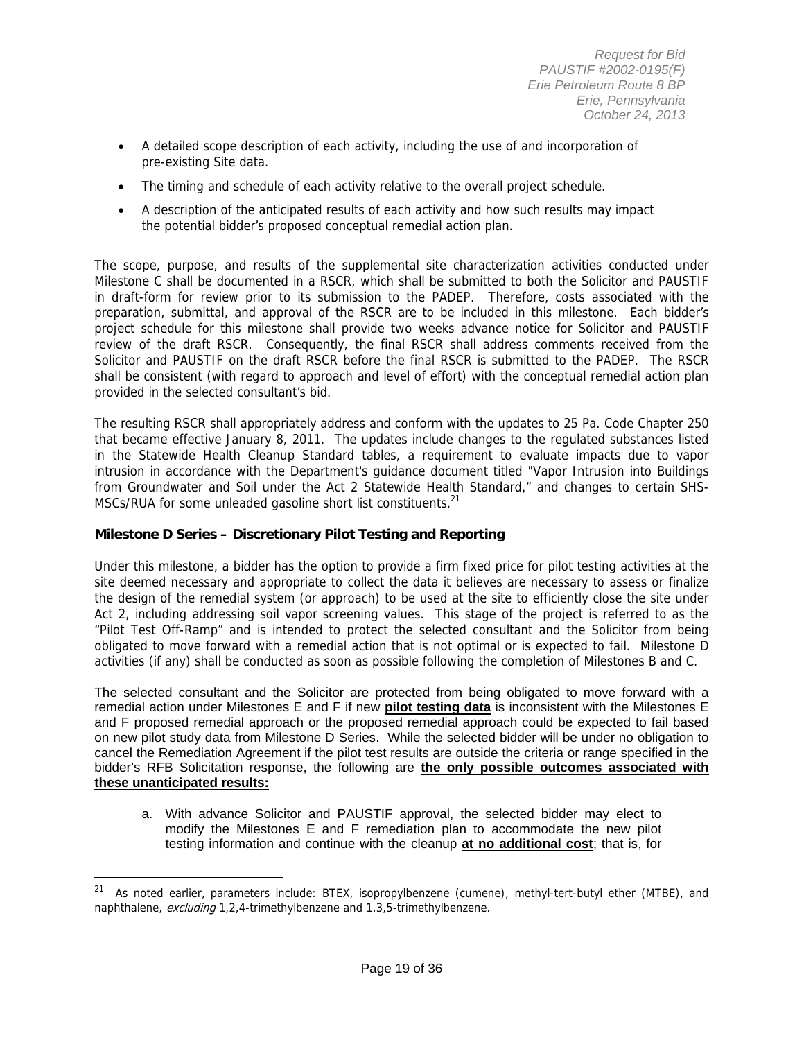- A detailed scope description of each activity, including the use of and incorporation of pre-existing Site data.
- The timing and schedule of each activity relative to the overall project schedule.
- A description of the anticipated results of each activity and how such results may impact the potential bidder's proposed conceptual remedial action plan.

The scope, purpose, and results of the supplemental site characterization activities conducted under Milestone C shall be documented in a RSCR, which shall be submitted to both the Solicitor and PAUSTIF in draft-form for review prior to its submission to the PADEP. Therefore, costs associated with the preparation, submittal, and approval of the RSCR are to be included in this milestone. Each bidder's project schedule for this milestone shall provide two weeks advance notice for Solicitor and PAUSTIF review of the draft RSCR. Consequently, the final RSCR shall address comments received from the Solicitor and PAUSTIF on the draft RSCR before the final RSCR is submitted to the PADEP. The RSCR shall be consistent (with regard to approach and level of effort) with the conceptual remedial action plan provided in the selected consultant's bid.

The resulting RSCR shall appropriately address and conform with the updates to 25 Pa. Code Chapter 250 that became effective January 8, 2011. The updates include changes to the regulated substances listed in the Statewide Health Cleanup Standard tables, a requirement to evaluate impacts due to vapor intrusion in accordance with the Department's guidance document titled "Vapor Intrusion into Buildings from Groundwater and Soil under the Act 2 Statewide Health Standard," and changes to certain SHS-MSCs/RUA for some unleaded gasoline short list constituents.<sup>21</sup>

### **Milestone D Series – Discretionary Pilot Testing and Reporting**

 $\overline{a}$ 

Under this milestone, a bidder has the option to provide a firm fixed price for pilot testing activities at the site deemed necessary and appropriate to collect the data it believes are necessary to assess or finalize the design of the remedial system (or approach) to be used at the site to efficiently close the site under Act 2, including addressing soil vapor screening values. This stage of the project is referred to as the "Pilot Test Off-Ramp" and is intended to protect the selected consultant and the Solicitor from being obligated to move forward with a remedial action that is not optimal or is expected to fail. Milestone D activities (if any) shall be conducted as soon as possible following the completion of Milestones B and C.

The selected consultant and the Solicitor are protected from being obligated to move forward with a remedial action under Milestones E and F if new **pilot testing data** is inconsistent with the Milestones E and F proposed remedial approach or the proposed remedial approach could be expected to fail based on new pilot study data from Milestone D Series. While the selected bidder will be under no obligation to cancel the Remediation Agreement if the pilot test results are outside the criteria or range specified in the bidder's RFB Solicitation response, the following are **the only possible outcomes associated with these unanticipated results:**

a. With advance Solicitor and PAUSTIF approval, the selected bidder may elect to modify the Milestones E and F remediation plan to accommodate the new pilot testing information and continue with the cleanup **at no additional cost**; that is, for

<sup>&</sup>lt;sup>21</sup> As noted earlier, parameters include: BTEX, isopropylbenzene (cumene), methyl-tert-butyl ether (MTBE), and naphthalene, excluding 1,2,4-trimethylbenzene and 1,3,5-trimethylbenzene.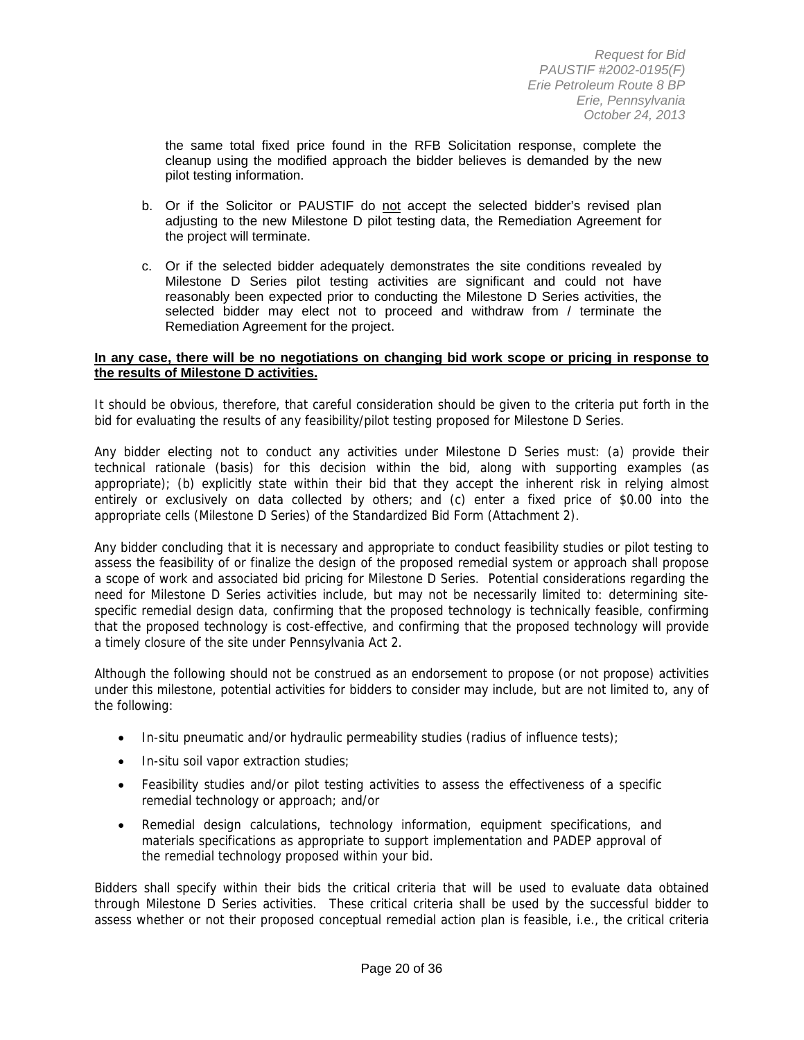the same total fixed price found in the RFB Solicitation response, complete the cleanup using the modified approach the bidder believes is demanded by the new pilot testing information.

- b. Or if the Solicitor or PAUSTIF do not accept the selected bidder's revised plan adjusting to the new Milestone D pilot testing data, the Remediation Agreement for the project will terminate.
- c. Or if the selected bidder adequately demonstrates the site conditions revealed by Milestone D Series pilot testing activities are significant and could not have reasonably been expected prior to conducting the Milestone D Series activities, the selected bidder may elect not to proceed and withdraw from / terminate the Remediation Agreement for the project.

#### **In any case, there will be no negotiations on changing bid work scope or pricing in response to the results of Milestone D activities.**

It should be obvious, therefore, that careful consideration should be given to the criteria put forth in the bid for evaluating the results of any feasibility/pilot testing proposed for Milestone D Series.

Any bidder electing not to conduct any activities under Milestone D Series must: (a) provide their technical rationale (basis) for this decision within the bid, along with supporting examples (as appropriate); (b) explicitly state within their bid that they accept the inherent risk in relying almost entirely or exclusively on data collected by others; and (c) enter a fixed price of \$0.00 into the appropriate cells (Milestone D Series) of the Standardized Bid Form (Attachment 2).

Any bidder concluding that it is necessary and appropriate to conduct feasibility studies or pilot testing to assess the feasibility of or finalize the design of the proposed remedial system or approach shall propose a scope of work and associated bid pricing for Milestone D Series. Potential considerations regarding the need for Milestone D Series activities include, but may not be necessarily limited to: determining sitespecific remedial design data, confirming that the proposed technology is technically feasible, confirming that the proposed technology is cost-effective, and confirming that the proposed technology will provide a timely closure of the site under Pennsylvania Act 2.

Although the following should not be construed as an endorsement to propose (or not propose) activities under this milestone, potential activities for bidders to consider may include, but are not limited to, any of the following:

- In-situ pneumatic and/or hydraulic permeability studies (radius of influence tests);
- In-situ soil vapor extraction studies;
- Feasibility studies and/or pilot testing activities to assess the effectiveness of a specific remedial technology or approach; and/or
- Remedial design calculations, technology information, equipment specifications, and materials specifications as appropriate to support implementation and PADEP approval of the remedial technology proposed within your bid.

Bidders shall specify within their bids the critical criteria that will be used to evaluate data obtained through Milestone D Series activities. These critical criteria shall be used by the successful bidder to assess whether or not their proposed conceptual remedial action plan is feasible, i.e., the critical criteria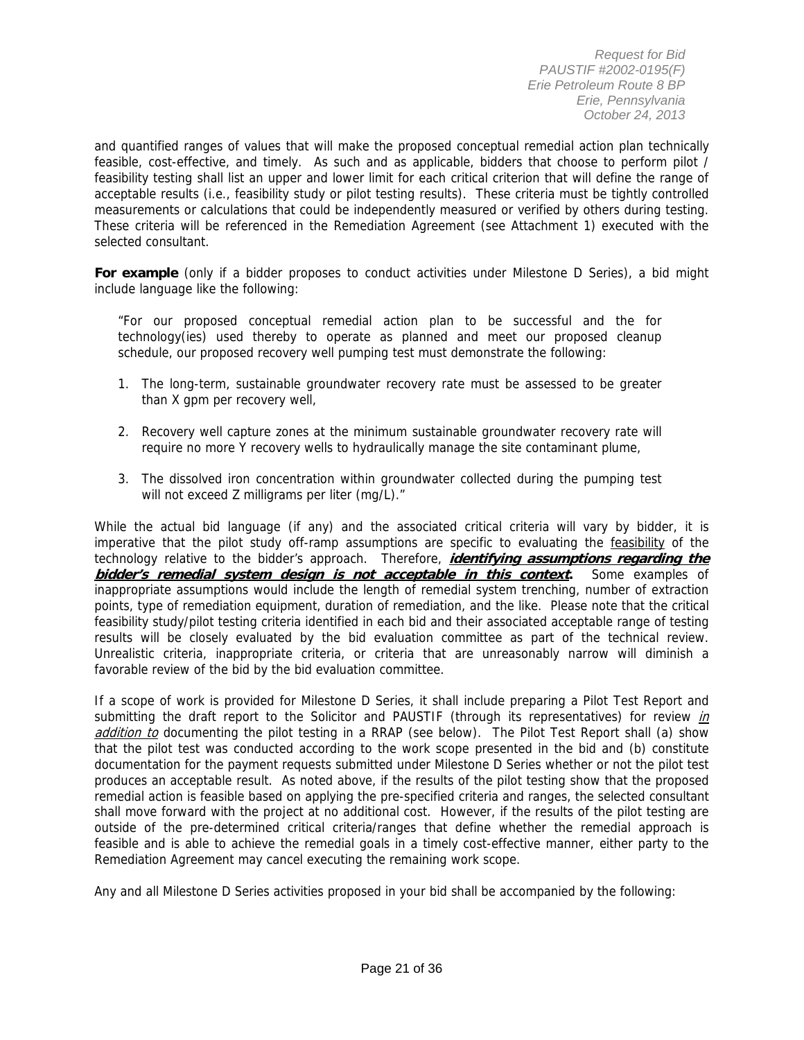and quantified ranges of values that will make the proposed conceptual remedial action plan technically feasible, cost-effective, and timely. As such and as applicable, bidders that choose to perform pilot / feasibility testing shall list an upper and lower limit for each critical criterion that will define the range of acceptable results (i.e., feasibility study or pilot testing results). These criteria must be tightly controlled measurements or calculations that could be independently measured or verified by others during testing. These criteria will be referenced in the Remediation Agreement (see Attachment 1) executed with the selected consultant.

**For example** (only if a bidder proposes to conduct activities under Milestone D Series), a bid might include language like the following:

"For our proposed conceptual remedial action plan to be successful and the for technology(ies) used thereby to operate as planned and meet our proposed cleanup schedule, our proposed recovery well pumping test must demonstrate the following:

- 1. The long-term, sustainable groundwater recovery rate must be assessed to be greater than X gpm per recovery well,
- 2. Recovery well capture zones at the minimum sustainable groundwater recovery rate will require no more Y recovery wells to hydraulically manage the site contaminant plume,
- 3. The dissolved iron concentration within groundwater collected during the pumping test will not exceed Z milligrams per liter (mg/L)."

While the actual bid language (if any) and the associated critical criteria will vary by bidder, it is imperative that the pilot study off-ramp assumptions are specific to evaluating the feasibility of the technology relative to the bidder's approach. Therefore, **identifying assumptions regarding the bidder's remedial system design is not acceptable in this context.** Some examples of inappropriate assumptions would include the length of remedial system trenching, number of extraction points, type of remediation equipment, duration of remediation, and the like. Please note that the critical feasibility study/pilot testing criteria identified in each bid and their associated acceptable range of testing results will be closely evaluated by the bid evaluation committee as part of the technical review. Unrealistic criteria, inappropriate criteria, or criteria that are unreasonably narrow will diminish a favorable review of the bid by the bid evaluation committee.

If a scope of work is provided for Milestone D Series, it shall include preparing a Pilot Test Report and submitting the draft report to the Solicitor and PAUSTIF (through its representatives) for review in addition to documenting the pilot testing in a RRAP (see below). The Pilot Test Report shall (a) show that the pilot test was conducted according to the work scope presented in the bid and (b) constitute documentation for the payment requests submitted under Milestone D Series whether or not the pilot test produces an acceptable result. As noted above, if the results of the pilot testing show that the proposed remedial action is feasible based on applying the pre-specified criteria and ranges, the selected consultant shall move forward with the project at no additional cost. However, if the results of the pilot testing are outside of the pre-determined critical criteria/ranges that define whether the remedial approach is feasible and is able to achieve the remedial goals in a timely cost-effective manner, either party to the Remediation Agreement may cancel executing the remaining work scope.

Any and all Milestone D Series activities proposed in your bid shall be accompanied by the following: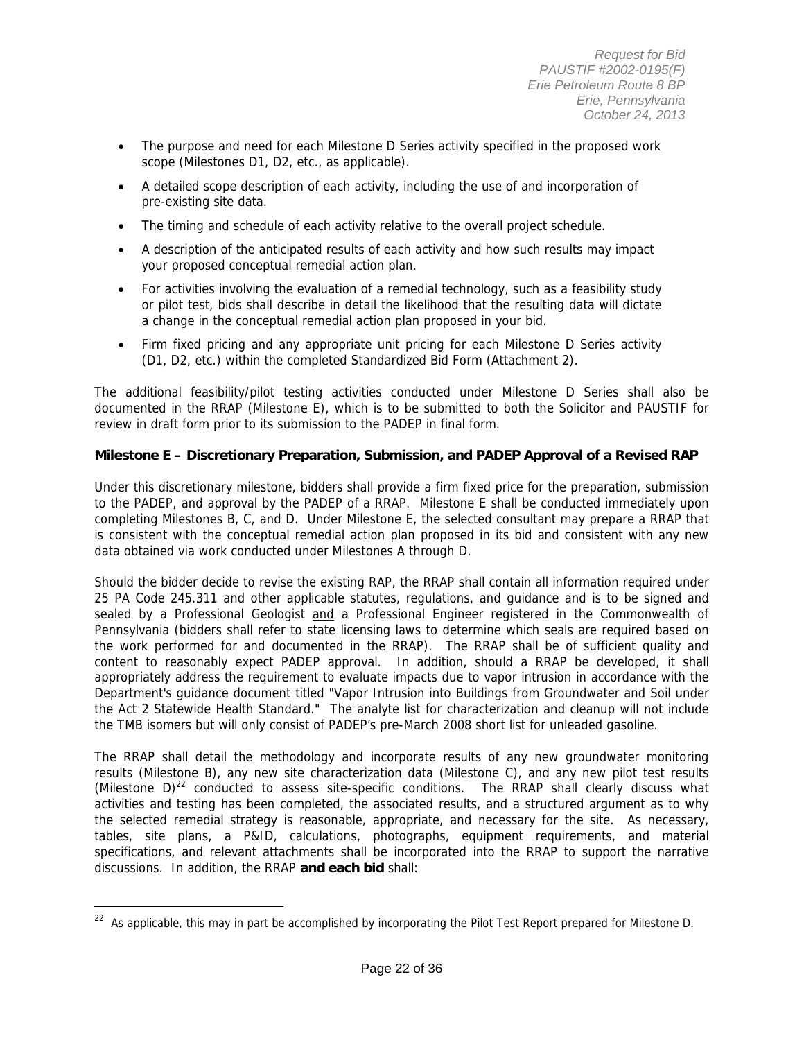- The purpose and need for each Milestone D Series activity specified in the proposed work scope (Milestones D1, D2, etc., as applicable).
- A detailed scope description of each activity, including the use of and incorporation of pre-existing site data.
- The timing and schedule of each activity relative to the overall project schedule.
- A description of the anticipated results of each activity and how such results may impact your proposed conceptual remedial action plan.
- For activities involving the evaluation of a remedial technology, such as a feasibility study or pilot test, bids shall describe in detail the likelihood that the resulting data will dictate a change in the conceptual remedial action plan proposed in your bid.
- Firm fixed pricing and any appropriate unit pricing for each Milestone D Series activity (D1, D2, etc.) within the completed Standardized Bid Form (Attachment 2).

The additional feasibility/pilot testing activities conducted under Milestone D Series shall also be documented in the RRAP (Milestone E), which is to be submitted to both the Solicitor and PAUSTIF for review in draft form prior to its submission to the PADEP in final form.

### **Milestone E – Discretionary Preparation, Submission, and PADEP Approval of a Revised RAP**

Under this discretionary milestone, bidders shall provide a firm fixed price for the preparation, submission to the PADEP, and approval by the PADEP of a RRAP. Milestone E shall be conducted immediately upon completing Milestones B, C, and D. Under Milestone E, the selected consultant may prepare a RRAP that is consistent with the conceptual remedial action plan proposed in its bid and consistent with any new data obtained via work conducted under Milestones A through D.

Should the bidder decide to revise the existing RAP, the RRAP shall contain all information required under 25 PA Code 245.311 and other applicable statutes, regulations, and guidance and is to be signed and sealed by a Professional Geologist and a Professional Engineer registered in the Commonwealth of Pennsylvania (bidders shall refer to state licensing laws to determine which seals are required based on the work performed for and documented in the RRAP). The RRAP shall be of sufficient quality and content to reasonably expect PADEP approval. In addition, should a RRAP be developed, it shall appropriately address the requirement to evaluate impacts due to vapor intrusion in accordance with the Department's guidance document titled "Vapor Intrusion into Buildings from Groundwater and Soil under the Act 2 Statewide Health Standard." The analyte list for characterization and cleanup will not include the TMB isomers but will only consist of PADEP's pre-March 2008 short list for unleaded gasoline.

The RRAP shall detail the methodology and incorporate results of any new groundwater monitoring results (Milestone B), any new site characterization data (Milestone C), and any new pilot test results (Milestone  $D^{22}$  conducted to assess site-specific conditions. The RRAP shall clearly discuss what activities and testing has been completed, the associated results, and a structured argument as to why the selected remedial strategy is reasonable, appropriate, and necessary for the site. As necessary, tables, site plans, a P&ID, calculations, photographs, equipment requirements, and material specifications, and relevant attachments shall be incorporated into the RRAP to support the narrative discussions. In addition, the RRAP **and each bid** shall:

<sup>&</sup>lt;sup>22</sup> As applicable, this may in part be accomplished by incorporating the Pilot Test Report prepared for Milestone D.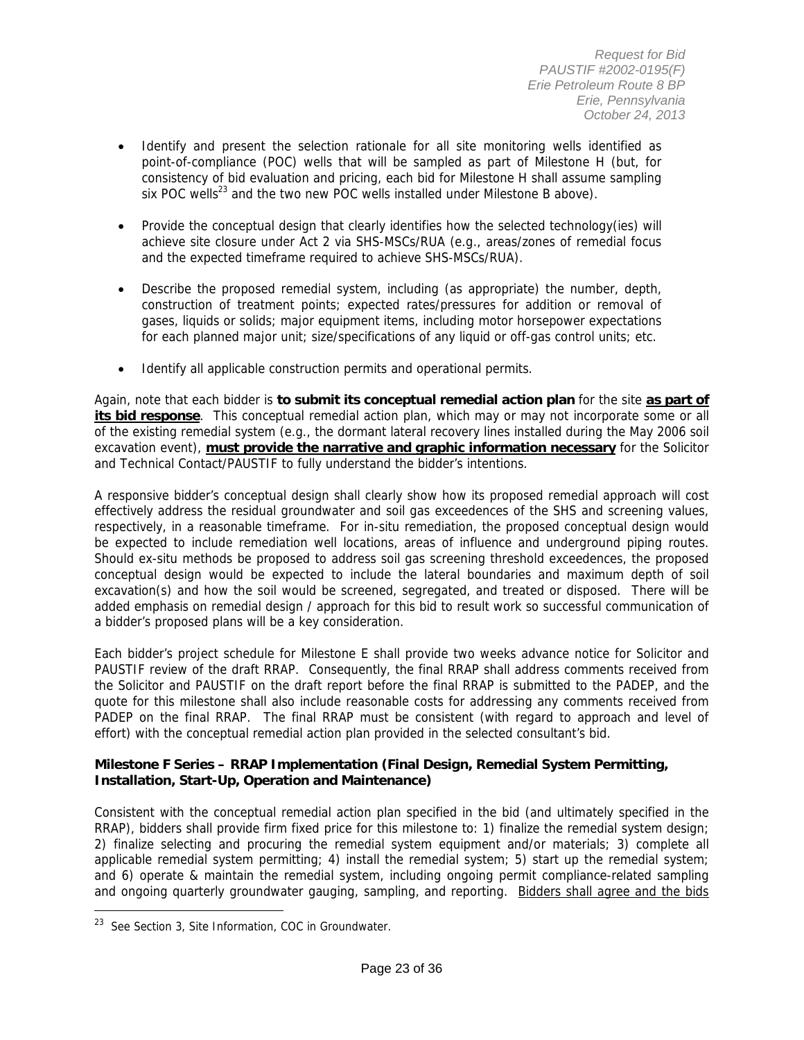- Identify and present the selection rationale for all site monitoring wells identified as point-of-compliance (POC) wells that will be sampled as part of Milestone H (but, for consistency of bid evaluation and pricing, each bid for Milestone H shall assume sampling six POC wells<sup>23</sup> and the two new POC wells installed under Milestone B above).
- Provide the conceptual design that clearly identifies how the selected technology(ies) will achieve site closure under Act 2 via SHS-MSCs/RUA (e.g., areas/zones of remedial focus and the expected timeframe required to achieve SHS-MSCs/RUA).
- Describe the proposed remedial system, including (as appropriate) the number, depth, construction of treatment points; expected rates/pressures for addition or removal of gases, liquids or solids; major equipment items, including motor horsepower expectations for each planned major unit; size/specifications of any liquid or off-gas control units; etc.
- Identify all applicable construction permits and operational permits.

Again, note that each bidder is **to submit its conceptual remedial action plan** for the site **as part of its bid response**. This conceptual remedial action plan, which may or may not incorporate some or all of the existing remedial system (e.g., the dormant lateral recovery lines installed during the May 2006 soil excavation event), **must provide the narrative and graphic information necessary** for the Solicitor and Technical Contact/PAUSTIF to fully understand the bidder's intentions.

A responsive bidder's conceptual design shall clearly show how its proposed remedial approach will cost effectively address the residual groundwater and soil gas exceedences of the SHS and screening values, respectively, in a reasonable timeframe. For in-situ remediation, the proposed conceptual design would be expected to include remediation well locations, areas of influence and underground piping routes. Should ex-situ methods be proposed to address soil gas screening threshold exceedences, the proposed conceptual design would be expected to include the lateral boundaries and maximum depth of soil excavation(s) and how the soil would be screened, segregated, and treated or disposed. There will be added emphasis on remedial design / approach for this bid to result work so successful communication of a bidder's proposed plans will be a key consideration.

Each bidder's project schedule for Milestone E shall provide two weeks advance notice for Solicitor and PAUSTIF review of the draft RRAP. Consequently, the final RRAP shall address comments received from the Solicitor and PAUSTIF on the draft report before the final RRAP is submitted to the PADEP, and the quote for this milestone shall also include reasonable costs for addressing any comments received from PADEP on the final RRAP. The final RRAP must be consistent (with regard to approach and level of effort) with the conceptual remedial action plan provided in the selected consultant's bid.

#### **Milestone F Series – RRAP Implementation (Final Design, Remedial System Permitting, Installation, Start-Up, Operation and Maintenance)**

Consistent with the conceptual remedial action plan specified in the bid (and ultimately specified in the RRAP), bidders shall provide firm fixed price for this milestone to: 1) finalize the remedial system design; 2) finalize selecting and procuring the remedial system equipment and/or materials; 3) complete all applicable remedial system permitting; 4) install the remedial system; 5) start up the remedial system; and 6) operate & maintain the remedial system, including ongoing permit compliance-related sampling and ongoing quarterly groundwater gauging, sampling, and reporting. Bidders shall agree and the bids

<sup>&</sup>lt;sup>23</sup> See Section 3, Site Information, COC in Groundwater.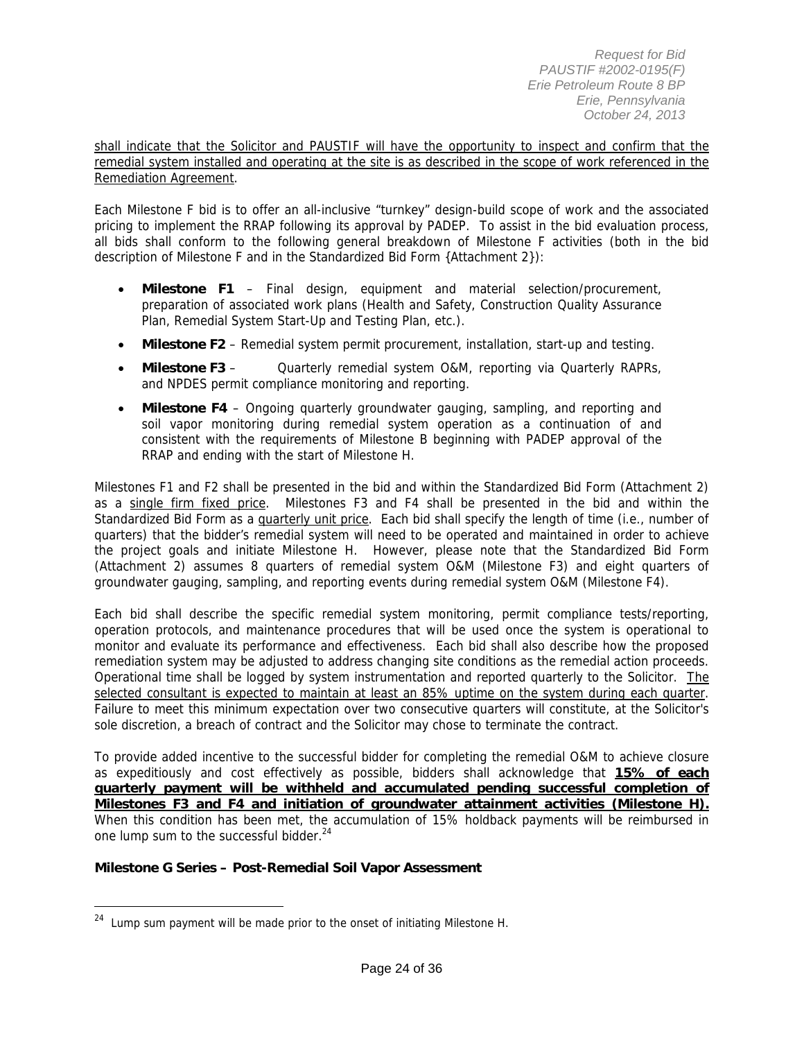shall indicate that the Solicitor and PAUSTIF will have the opportunity to inspect and confirm that the remedial system installed and operating at the site is as described in the scope of work referenced in the Remediation Agreement.

Each Milestone F bid is to offer an all-inclusive "turnkey" design-build scope of work and the associated pricing to implement the RRAP following its approval by PADEP. To assist in the bid evaluation process, all bids shall conform to the following general breakdown of Milestone F activities (both in the bid description of Milestone F and in the Standardized Bid Form {Attachment 2}):

- **Milestone F1** Final design, equipment and material selection/procurement, preparation of associated work plans (Health and Safety, Construction Quality Assurance Plan, Remedial System Start-Up and Testing Plan, etc.).
- **Milestone F2** Remedial system permit procurement, installation, start-up and testing.
- **Milestone F3** Quarterly remedial system O&M, reporting via Quarterly RAPRs, and NPDES permit compliance monitoring and reporting.
- **Milestone F4** Ongoing quarterly groundwater gauging, sampling, and reporting and soil vapor monitoring during remedial system operation as a continuation of and consistent with the requirements of Milestone B beginning with PADEP approval of the RRAP and ending with the start of Milestone H.

Milestones F1 and F2 shall be presented in the bid and within the Standardized Bid Form (Attachment 2) as a single firm fixed price. Milestones F3 and F4 shall be presented in the bid and within the Standardized Bid Form as a quarterly unit price. Each bid shall specify the length of time (i.e., number of quarters) that the bidder's remedial system will need to be operated and maintained in order to achieve the project goals and initiate Milestone H. However, please note that the Standardized Bid Form (Attachment 2) assumes 8 quarters of remedial system O&M (Milestone F3) and eight quarters of groundwater gauging, sampling, and reporting events during remedial system O&M (Milestone F4).

Each bid shall describe the specific remedial system monitoring, permit compliance tests/reporting, operation protocols, and maintenance procedures that will be used once the system is operational to monitor and evaluate its performance and effectiveness. Each bid shall also describe how the proposed remediation system may be adjusted to address changing site conditions as the remedial action proceeds. Operational time shall be logged by system instrumentation and reported quarterly to the Solicitor. The selected consultant is expected to maintain at least an 85% uptime on the system during each quarter. Failure to meet this minimum expectation over two consecutive quarters will constitute, at the Solicitor's sole discretion, a breach of contract and the Solicitor may chose to terminate the contract.

To provide added incentive to the successful bidder for completing the remedial O&M to achieve closure as expeditiously and cost effectively as possible, bidders shall acknowledge that **15% of each quarterly payment will be withheld and accumulated pending successful completion of Milestones F3 and F4 and initiation of groundwater attainment activities (Milestone H).** When this condition has been met, the accumulation of 15% holdback payments will be reimbursed in one lump sum to the successful bidder.<sup>24</sup>

#### **Milestone G Series – Post-Remedial Soil Vapor Assessment**

<sup>&</sup>lt;sup>24</sup> Lump sum payment will be made prior to the onset of initiating Milestone H.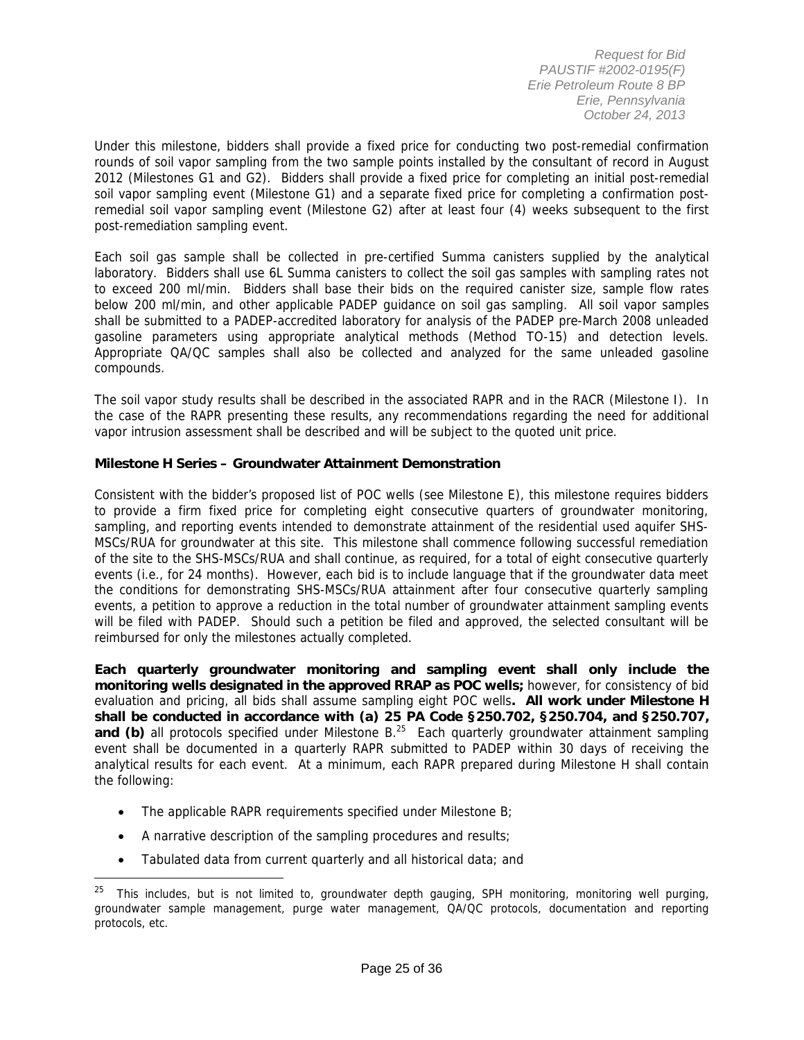Under this milestone, bidders shall provide a fixed price for conducting two post-remedial confirmation rounds of soil vapor sampling from the two sample points installed by the consultant of record in August 2012 (Milestones G1 and G2). Bidders shall provide a fixed price for completing an initial post-remedial soil vapor sampling event (Milestone G1) and a separate fixed price for completing a confirmation postremedial soil vapor sampling event (Milestone G2) after at least four (4) weeks subsequent to the first post-remediation sampling event.

Each soil gas sample shall be collected in pre-certified Summa canisters supplied by the analytical laboratory. Bidders shall use 6L Summa canisters to collect the soil gas samples with sampling rates not to exceed 200 ml/min. Bidders shall base their bids on the required canister size, sample flow rates below 200 ml/min, and other applicable PADEP guidance on soil gas sampling. All soil vapor samples shall be submitted to a PADEP-accredited laboratory for analysis of the PADEP pre-March 2008 unleaded gasoline parameters using appropriate analytical methods (Method TO-15) and detection levels. Appropriate QA/QC samples shall also be collected and analyzed for the same unleaded gasoline compounds.

The soil vapor study results shall be described in the associated RAPR and in the RACR (Milestone I). In the case of the RAPR presenting these results, any recommendations regarding the need for additional vapor intrusion assessment shall be described and will be subject to the quoted unit price.

### **Milestone H Series – Groundwater Attainment Demonstration**

Consistent with the bidder's proposed list of POC wells (see Milestone E), this milestone requires bidders to provide a firm fixed price for completing eight consecutive quarters of groundwater monitoring, sampling, and reporting events intended to demonstrate attainment of the residential used aquifer SHS-MSCs/RUA for groundwater at this site. This milestone shall commence following successful remediation of the site to the SHS-MSCs/RUA and shall continue, as required, for a total of eight consecutive quarterly events (i.e., for 24 months). However, each bid is to include language that if the groundwater data meet the conditions for demonstrating SHS-MSCs/RUA attainment after four consecutive quarterly sampling events, a petition to approve a reduction in the total number of groundwater attainment sampling events will be filed with PADEP. Should such a petition be filed and approved, the selected consultant will be reimbursed for only the milestones actually completed.

**Each quarterly groundwater monitoring and sampling event shall only include the monitoring wells designated in the approved RRAP as POC wells;** however, for consistency of bid evaluation and pricing, all bids shall assume sampling eight POC wells**. All work under Milestone H shall be conducted in accordance with (a) 25 PA Code §250.702, §250.704, and §250.707, and (b)** all protocols specified under Milestone B.<sup>25</sup> Each quarterly groundwater attainment sampling event shall be documented in a quarterly RAPR submitted to PADEP within 30 days of receiving the analytical results for each event. At a minimum, each RAPR prepared during Milestone H shall contain the following:

- The applicable RAPR requirements specified under Milestone B;
- A narrative description of the sampling procedures and results;

 $\overline{a}$ 

Tabulated data from current quarterly and all historical data; and

<sup>&</sup>lt;sup>25</sup> This includes, but is not limited to, groundwater depth gauging, SPH monitoring, monitoring well purging, groundwater sample management, purge water management, QA/QC protocols, documentation and reporting protocols, etc.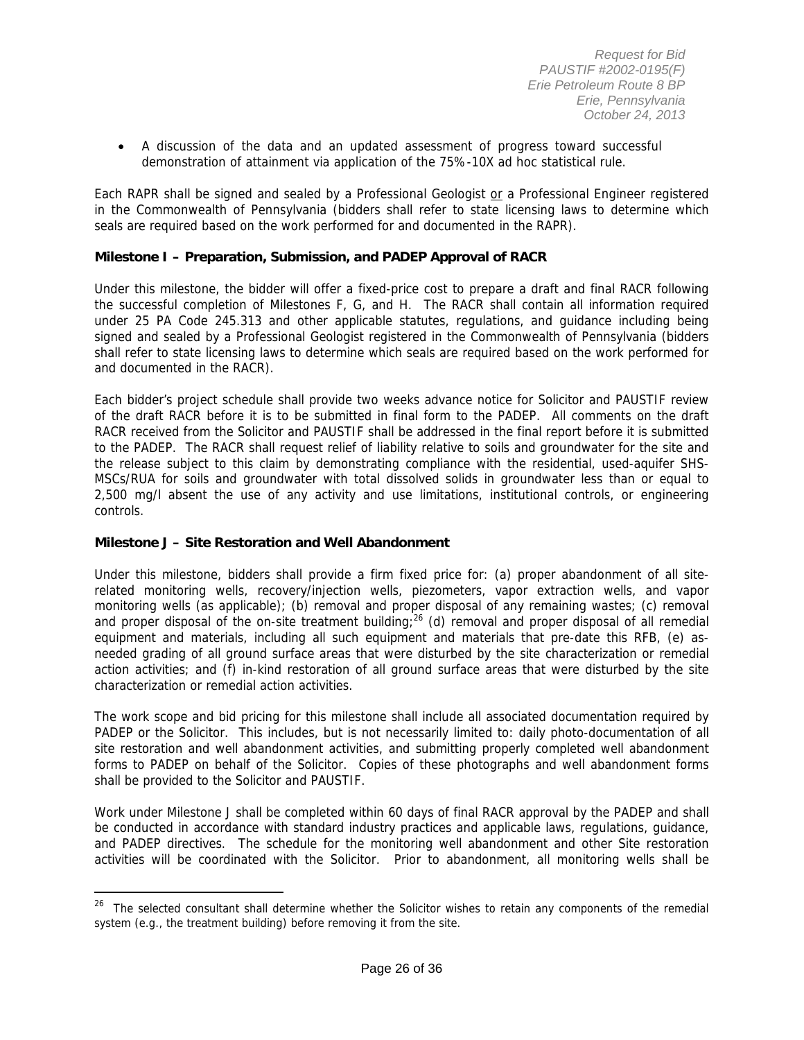A discussion of the data and an updated assessment of progress toward successful demonstration of attainment via application of the 75%-10X ad hoc statistical rule.

Each RAPR shall be signed and sealed by a Professional Geologist or a Professional Engineer registered in the Commonwealth of Pennsylvania (bidders shall refer to state licensing laws to determine which seals are required based on the work performed for and documented in the RAPR).

#### **Milestone I – Preparation, Submission, and PADEP Approval of RACR**

Under this milestone, the bidder will offer a fixed-price cost to prepare a draft and final RACR following the successful completion of Milestones F, G, and H. The RACR shall contain all information required under 25 PA Code 245.313 and other applicable statutes, regulations, and guidance including being signed and sealed by a Professional Geologist registered in the Commonwealth of Pennsylvania (bidders shall refer to state licensing laws to determine which seals are required based on the work performed for and documented in the RACR).

Each bidder's project schedule shall provide two weeks advance notice for Solicitor and PAUSTIF review of the draft RACR before it is to be submitted in final form to the PADEP. All comments on the draft RACR received from the Solicitor and PAUSTIF shall be addressed in the final report before it is submitted to the PADEP. The RACR shall request relief of liability relative to soils and groundwater for the site and the release subject to this claim by demonstrating compliance with the residential, used-aquifer SHS-MSCs/RUA for soils and groundwater with total dissolved solids in groundwater less than or equal to 2,500 mg/l absent the use of any activity and use limitations, institutional controls, or engineering controls.

#### **Milestone J – Site Restoration and Well Abandonment**

 $\overline{a}$ 

Under this milestone, bidders shall provide a firm fixed price for: (a) proper abandonment of all siterelated monitoring wells, recovery/injection wells, piezometers, vapor extraction wells, and vapor monitoring wells (as applicable); (b) removal and proper disposal of any remaining wastes; (c) removal and proper disposal of the on-site treatment building;<sup>26</sup> (d) removal and proper disposal of all remedial equipment and materials, including all such equipment and materials that pre-date this RFB, (e) asneeded grading of all ground surface areas that were disturbed by the site characterization or remedial action activities; and (f) in-kind restoration of all ground surface areas that were disturbed by the site characterization or remedial action activities.

The work scope and bid pricing for this milestone shall include all associated documentation required by PADEP or the Solicitor. This includes, but is not necessarily limited to: daily photo-documentation of all site restoration and well abandonment activities, and submitting properly completed well abandonment forms to PADEP on behalf of the Solicitor. Copies of these photographs and well abandonment forms shall be provided to the Solicitor and PAUSTIF.

Work under Milestone J shall be completed within 60 days of final RACR approval by the PADEP and shall be conducted in accordance with standard industry practices and applicable laws, regulations, guidance, and PADEP directives. The schedule for the monitoring well abandonment and other Site restoration activities will be coordinated with the Solicitor. Prior to abandonment, all monitoring wells shall be

<sup>&</sup>lt;sup>26</sup> The selected consultant shall determine whether the Solicitor wishes to retain any components of the remedial system (e.g., the treatment building) before removing it from the site.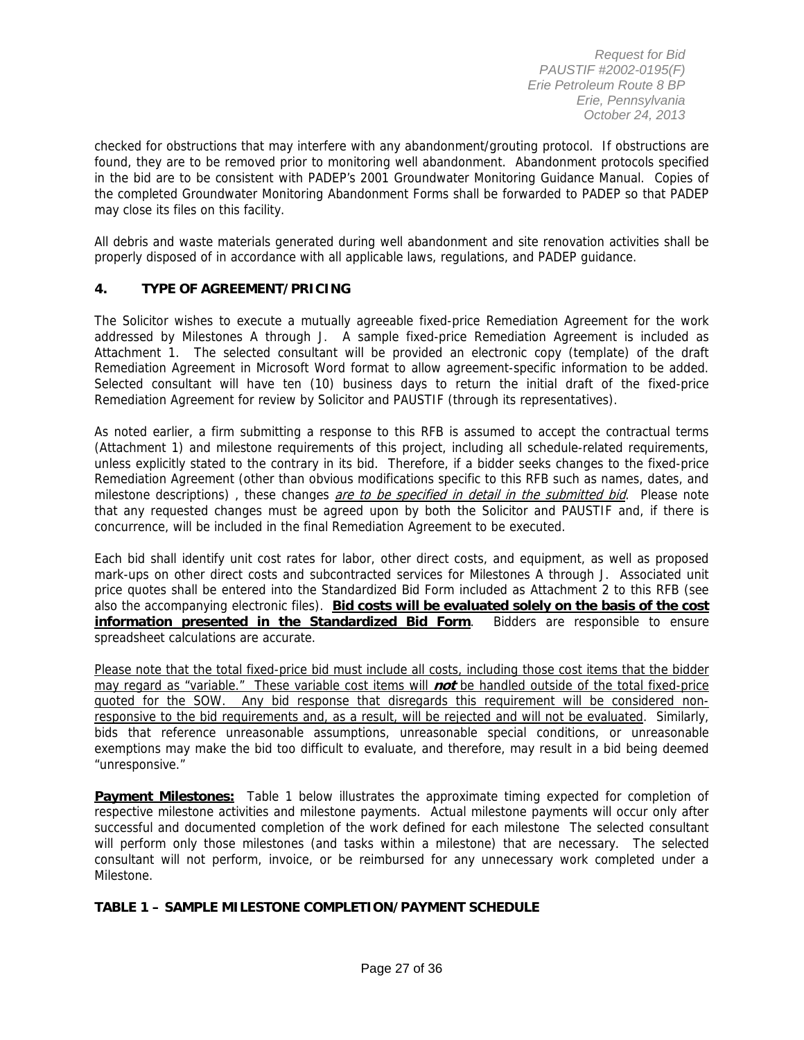checked for obstructions that may interfere with any abandonment/grouting protocol. If obstructions are found, they are to be removed prior to monitoring well abandonment. Abandonment protocols specified in the bid are to be consistent with PADEP's 2001 Groundwater Monitoring Guidance Manual. Copies of the completed Groundwater Monitoring Abandonment Forms shall be forwarded to PADEP so that PADEP may close its files on this facility.

All debris and waste materials generated during well abandonment and site renovation activities shall be properly disposed of in accordance with all applicable laws, regulations, and PADEP guidance.

### **4. TYPE OF AGREEMENT/PRICING**

The Solicitor wishes to execute a mutually agreeable fixed-price Remediation Agreement for the work addressed by Milestones A through J. A sample fixed-price Remediation Agreement is included as Attachment 1. The selected consultant will be provided an electronic copy (template) of the draft Remediation Agreement in Microsoft Word format to allow agreement-specific information to be added. Selected consultant will have ten (10) business days to return the initial draft of the fixed-price Remediation Agreement for review by Solicitor and PAUSTIF (through its representatives).

As noted earlier, a firm submitting a response to this RFB is assumed to accept the contractual terms (Attachment 1) and milestone requirements of this project, including all schedule-related requirements, unless explicitly stated to the contrary in its bid. Therefore, if a bidder seeks changes to the fixed-price Remediation Agreement (other than obvious modifications specific to this RFB such as names, dates, and milestone descriptions), these changes are to be specified in detail in the submitted bid. Please note that any requested changes must be agreed upon by both the Solicitor and PAUSTIF and, if there is concurrence, will be included in the final Remediation Agreement to be executed.

Each bid shall identify unit cost rates for labor, other direct costs, and equipment, as well as proposed mark-ups on other direct costs and subcontracted services for Milestones A through J. Associated unit price quotes shall be entered into the Standardized Bid Form included as Attachment 2 to this RFB (see also the accompanying electronic files). **Bid costs will be evaluated solely on the basis of the cost information presented in the Standardized Bid Form**. Bidders are responsible to ensure spreadsheet calculations are accurate.

Please note that the total fixed-price bid must include all costs, including those cost items that the bidder may regard as "variable." These variable cost items will **not** be handled outside of the total fixed-price quoted for the SOW. Any bid response that disregards this requirement will be considered nonresponsive to the bid requirements and, as a result, will be rejected and will not be evaluated. Similarly, bids that reference unreasonable assumptions, unreasonable special conditions, or unreasonable exemptions may make the bid too difficult to evaluate, and therefore, may result in a bid being deemed "unresponsive."

**Payment Milestones:** Table 1 below illustrates the approximate timing expected for completion of respective milestone activities and milestone payments. Actual milestone payments will occur only after successful and documented completion of the work defined for each milestone The selected consultant will perform only those milestones (and tasks within a milestone) that are necessary. The selected consultant will not perform, invoice, or be reimbursed for any unnecessary work completed under a Milestone.

#### **TABLE 1 – SAMPLE MILESTONE COMPLETION/PAYMENT SCHEDULE**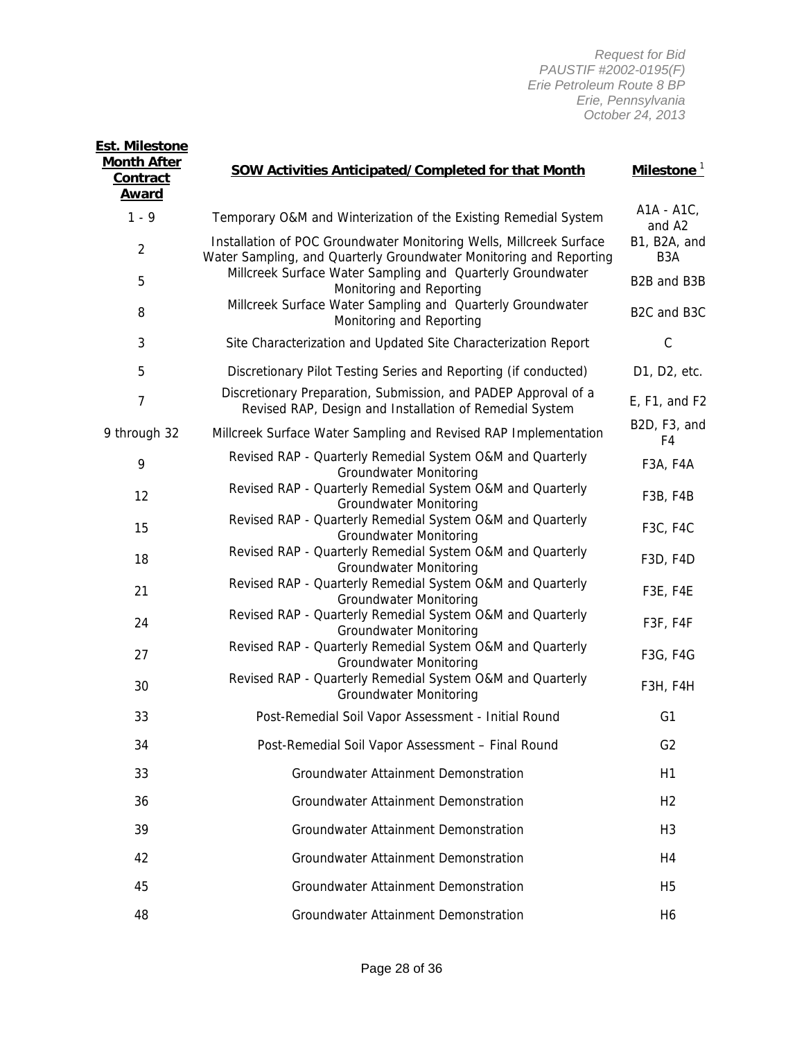| <b>Month After</b><br><b>Contract</b><br><u>Award</u> | <b>SOW Activities Anticipated/Completed for that Month</b>                                                                                | Milestone <sup>1</sup>           |
|-------------------------------------------------------|-------------------------------------------------------------------------------------------------------------------------------------------|----------------------------------|
| $1 - 9$                                               | Temporary O&M and Winterization of the Existing Remedial System                                                                           | A1A - A1C,<br>and A2             |
| $\overline{2}$                                        | Installation of POC Groundwater Monitoring Wells, Millcreek Surface<br>Water Sampling, and Quarterly Groundwater Monitoring and Reporting | B1, B2A, and<br>B <sub>3</sub> A |
| 5                                                     | Millcreek Surface Water Sampling and Quarterly Groundwater<br>Monitoring and Reporting                                                    | B2B and B3B                      |
| 8                                                     | Millcreek Surface Water Sampling and Quarterly Groundwater<br>Monitoring and Reporting                                                    | B2C and B3C                      |
| 3                                                     | Site Characterization and Updated Site Characterization Report                                                                            | $\mathsf C$                      |
| 5                                                     | Discretionary Pilot Testing Series and Reporting (if conducted)                                                                           | D1, D2, etc.                     |
| 7                                                     | Discretionary Preparation, Submission, and PADEP Approval of a<br>Revised RAP, Design and Installation of Remedial System                 | E, F1, and F2                    |
| 9 through 32                                          | Millcreek Surface Water Sampling and Revised RAP Implementation                                                                           | B2D, F3, and<br>F4               |
| 9                                                     | Revised RAP - Quarterly Remedial System O&M and Quarterly<br><b>Groundwater Monitoring</b>                                                | F3A, F4A                         |
| 12                                                    | Revised RAP - Quarterly Remedial System O&M and Quarterly<br><b>Groundwater Monitoring</b>                                                | F3B, F4B                         |
| 15                                                    | Revised RAP - Quarterly Remedial System O&M and Quarterly<br><b>Groundwater Monitoring</b>                                                | F3C, F4C                         |
| 18                                                    | Revised RAP - Quarterly Remedial System O&M and Quarterly<br><b>Groundwater Monitoring</b>                                                | F3D, F4D                         |
| 21                                                    | Revised RAP - Quarterly Remedial System O&M and Quarterly<br><b>Groundwater Monitoring</b>                                                | <b>F3E, F4E</b>                  |
| 24                                                    | Revised RAP - Quarterly Remedial System O&M and Quarterly<br><b>Groundwater Monitoring</b>                                                | F3F, F4F                         |
| 27                                                    | Revised RAP - Quarterly Remedial System O&M and Quarterly<br><b>Groundwater Monitoring</b>                                                | F3G, F4G                         |
| 30                                                    | Revised RAP - Quarterly Remedial System O&M and Quarterly<br><b>Groundwater Monitoring</b>                                                | <b>F3H, F4H</b>                  |
| 33                                                    | Post-Remedial Soil Vapor Assessment - Initial Round                                                                                       | G <sub>1</sub>                   |
| 34                                                    | Post-Remedial Soil Vapor Assessment - Final Round                                                                                         | G <sub>2</sub>                   |
| 33                                                    | Groundwater Attainment Demonstration                                                                                                      | H1                               |
| 36                                                    | Groundwater Attainment Demonstration                                                                                                      | H <sub>2</sub>                   |
| 39                                                    | <b>Groundwater Attainment Demonstration</b>                                                                                               | H <sub>3</sub>                   |
| 42                                                    | Groundwater Attainment Demonstration                                                                                                      | H <sub>4</sub>                   |
| 45                                                    | Groundwater Attainment Demonstration                                                                                                      | H <sub>5</sub>                   |
| 48                                                    | Groundwater Attainment Demonstration                                                                                                      | H <sub>6</sub>                   |

**Est. Milestone**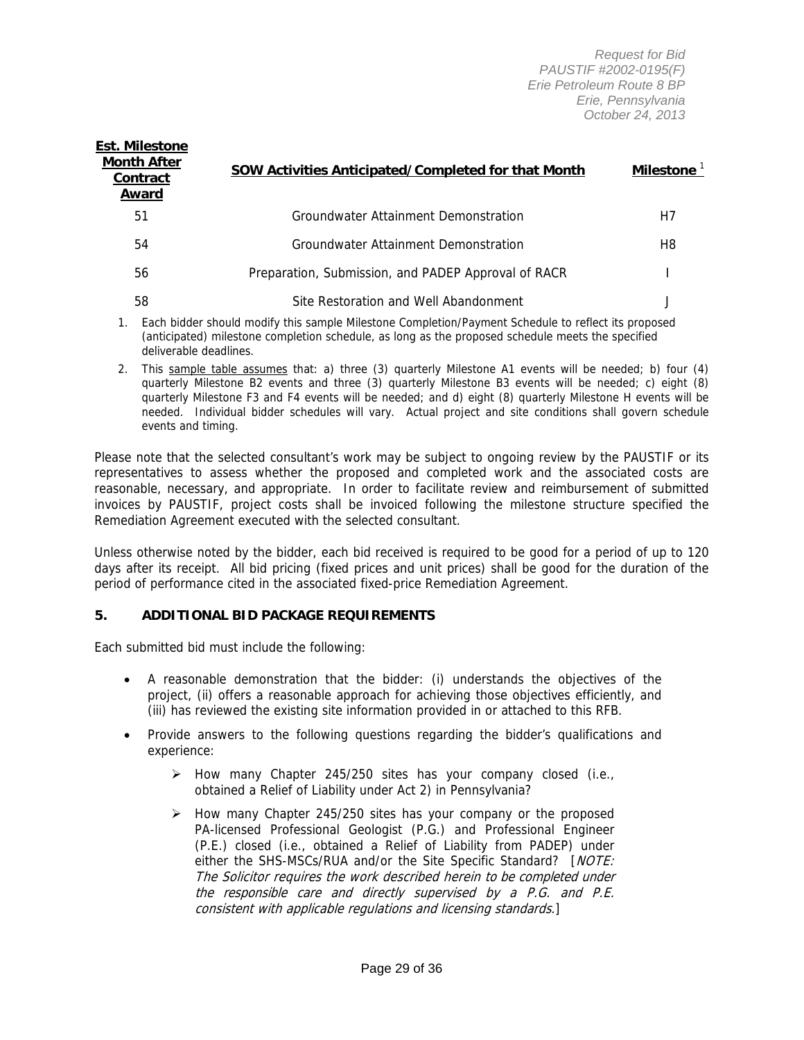| <b>Month After</b><br>Contract<br>Award | SOW Activities Anticipated/Completed for that Month | Milestone $1$ |
|-----------------------------------------|-----------------------------------------------------|---------------|
| 51                                      | Groundwater Attainment Demonstration                | H7            |
| 54                                      | Groundwater Attainment Demonstration                | H8            |
| 56                                      | Preparation, Submission, and PADEP Approval of RACR |               |
| 58                                      | Site Restoration and Well Abandonment               |               |

- 1. Each bidder should modify this sample Milestone Completion/Payment Schedule to reflect its proposed (anticipated) milestone completion schedule, as long as the proposed schedule meets the specified deliverable deadlines.
- 2. This sample table assumes that: a) three (3) quarterly Milestone A1 events will be needed; b) four (4) quarterly Milestone B2 events and three (3) quarterly Milestone B3 events will be needed; c) eight (8) quarterly Milestone F3 and F4 events will be needed; and d) eight (8) quarterly Milestone H events will be needed. Individual bidder schedules will vary. Actual project and site conditions shall govern schedule events and timing.

Please note that the selected consultant's work may be subject to ongoing review by the PAUSTIF or its representatives to assess whether the proposed and completed work and the associated costs are reasonable, necessary, and appropriate. In order to facilitate review and reimbursement of submitted invoices by PAUSTIF, project costs shall be invoiced following the milestone structure specified the Remediation Agreement executed with the selected consultant.

Unless otherwise noted by the bidder, each bid received is required to be good for a period of up to 120 days after its receipt. All bid pricing (fixed prices and unit prices) shall be good for the duration of the period of performance cited in the associated fixed-price Remediation Agreement.

#### **5. ADDITIONAL BID PACKAGE REQUIREMENTS**

Each submitted bid must include the following:

**Est. Milestone** 

- A reasonable demonstration that the bidder: (i) understands the objectives of the project, (ii) offers a reasonable approach for achieving those objectives efficiently, and (iii) has reviewed the existing site information provided in or attached to this RFB.
- Provide answers to the following questions regarding the bidder's qualifications and experience:
	- $\triangleright$  How many Chapter 245/250 sites has your company closed (i.e., obtained a Relief of Liability under Act 2) in Pennsylvania?
	- $\triangleright$  How many Chapter 245/250 sites has your company or the proposed PA-licensed Professional Geologist (P.G.) and Professional Engineer (P.E.) closed (i.e., obtained a Relief of Liability from PADEP) under either the SHS-MSCs/RUA and/or the Site Specific Standard? [NOTE: The Solicitor requires the work described herein to be completed under the responsible care and directly supervised by a P.G. and P.E. consistent with applicable regulations and licensing standards.]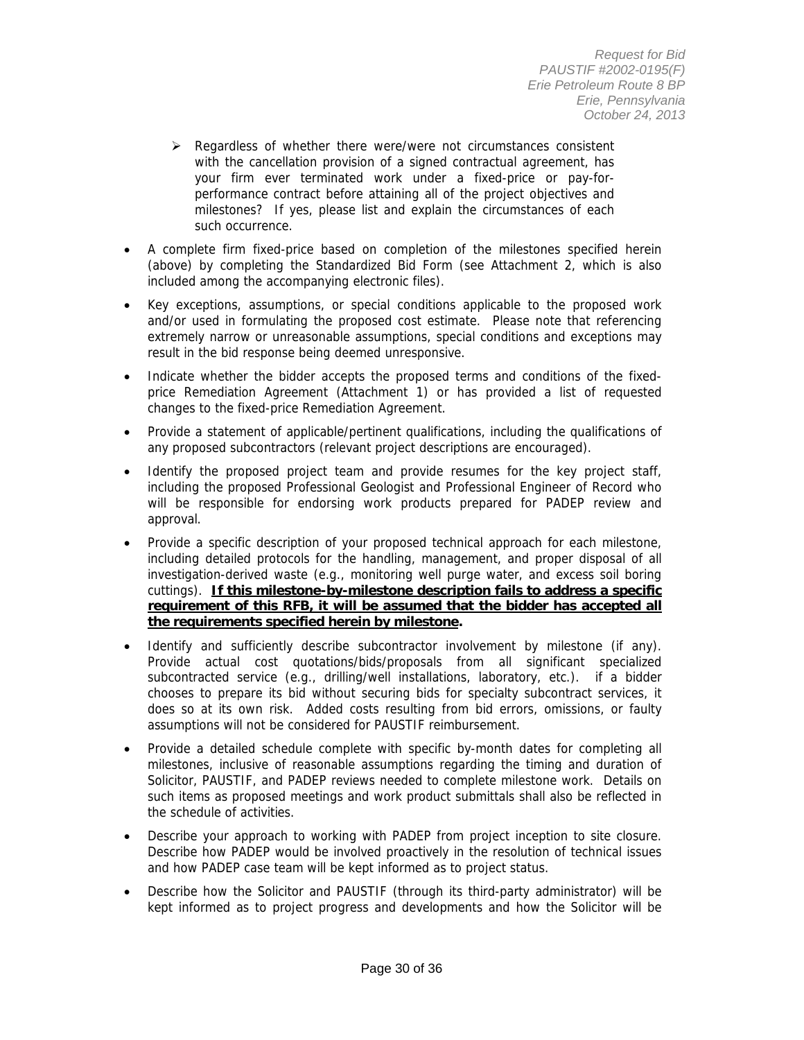- $\triangleright$  Regardless of whether there were/were not circumstances consistent with the cancellation provision of a signed contractual agreement, has your firm ever terminated work under a fixed-price or pay-forperformance contract before attaining all of the project objectives and milestones? If yes, please list and explain the circumstances of each such occurrence.
- A complete firm fixed-price based on completion of the milestones specified herein (above) by completing the Standardized Bid Form (see Attachment 2, which is also included among the accompanying electronic files).
- Key exceptions, assumptions, or special conditions applicable to the proposed work and/or used in formulating the proposed cost estimate. Please note that referencing extremely narrow or unreasonable assumptions, special conditions and exceptions may result in the bid response being deemed unresponsive.
- Indicate whether the bidder accepts the proposed terms and conditions of the fixedprice Remediation Agreement (Attachment 1) or has provided a list of requested changes to the fixed-price Remediation Agreement.
- Provide a statement of applicable/pertinent qualifications, including the qualifications of any proposed subcontractors (relevant project descriptions are encouraged).
- Identify the proposed project team and provide resumes for the key project staff, including the proposed Professional Geologist and Professional Engineer of Record who will be responsible for endorsing work products prepared for PADEP review and approval.
- Provide a specific description of your proposed technical approach for each milestone, including detailed protocols for the handling, management, and proper disposal of all investigation-derived waste (e.g., monitoring well purge water, and excess soil boring cuttings). **If this milestone-by-milestone description fails to address a specific requirement of this RFB, it will be assumed that the bidder has accepted all the requirements specified herein by milestone.**
- Identify and sufficiently describe subcontractor involvement by milestone (if any). Provide actual cost quotations/bids/proposals from all significant specialized subcontracted service (e.g., drilling/well installations, laboratory, etc.). if a bidder chooses to prepare its bid without securing bids for specialty subcontract services, it does so at its own risk. Added costs resulting from bid errors, omissions, or faulty assumptions will not be considered for PAUSTIF reimbursement.
- Provide a detailed schedule complete with specific by-month dates for completing all milestones, inclusive of reasonable assumptions regarding the timing and duration of Solicitor, PAUSTIF, and PADEP reviews needed to complete milestone work. Details on such items as proposed meetings and work product submittals shall also be reflected in the schedule of activities.
- Describe your approach to working with PADEP from project inception to site closure. Describe how PADEP would be involved proactively in the resolution of technical issues and how PADEP case team will be kept informed as to project status.
- Describe how the Solicitor and PAUSTIF (through its third-party administrator) will be kept informed as to project progress and developments and how the Solicitor will be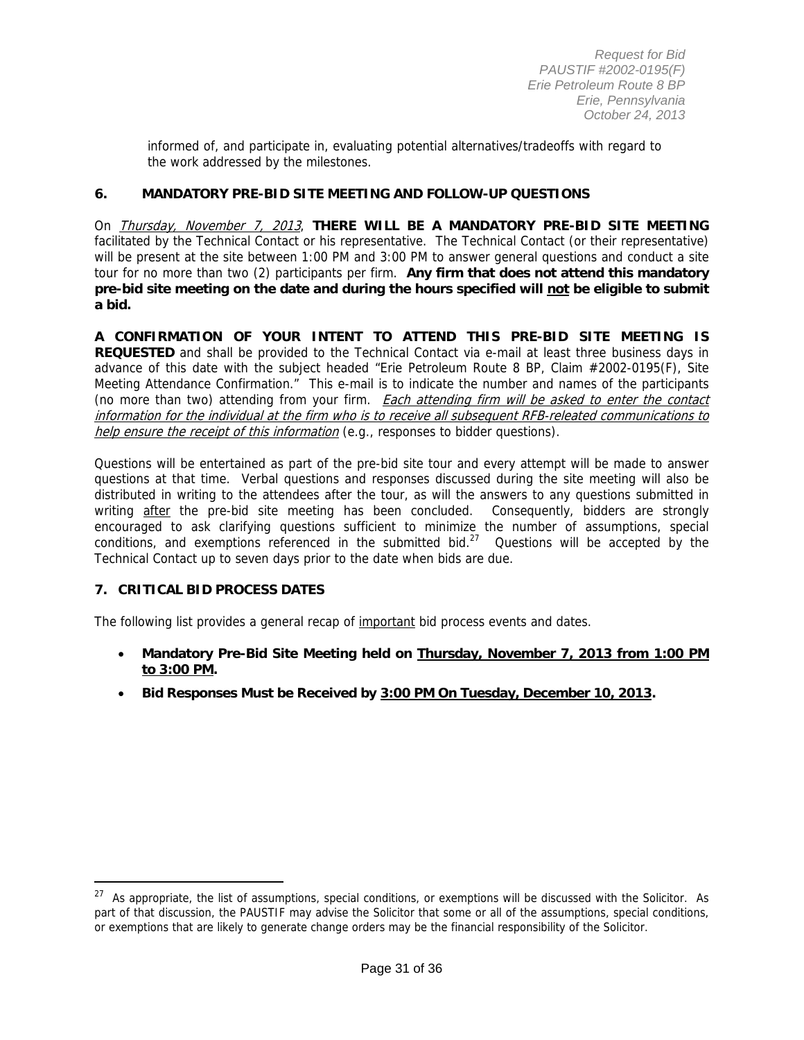informed of, and participate in, evaluating potential alternatives/tradeoffs with regard to the work addressed by the milestones.

#### **6. MANDATORY PRE-BID SITE MEETING AND FOLLOW-UP QUESTIONS**

On Thursday, November 7, 2013, **THERE WILL BE A MANDATORY PRE-BID SITE MEETING** facilitated by the Technical Contact or his representative. The Technical Contact (or their representative) will be present at the site between 1:00 PM and 3:00 PM to answer general questions and conduct a site tour for no more than two (2) participants per firm. **Any firm that does not attend this mandatory pre-bid site meeting on the date and during the hours specified will not be eligible to submit a bid.**

**A CONFIRMATION OF YOUR INTENT TO ATTEND THIS PRE-BID SITE MEETING IS REQUESTED** and shall be provided to the Technical Contact via e-mail at least three business days in advance of this date with the subject headed "Erie Petroleum Route 8 BP, Claim #2002-0195(F), Site Meeting Attendance Confirmation." This e-mail is to indicate the number and names of the participants (no more than two) attending from your firm. Each attending firm will be asked to enter the contact information for the individual at the firm who is to receive all subsequent RFB-releated communications to help ensure the receipt of this information (e.g., responses to bidder questions).

Questions will be entertained as part of the pre-bid site tour and every attempt will be made to answer questions at that time. Verbal questions and responses discussed during the site meeting will also be distributed in writing to the attendees after the tour, as will the answers to any questions submitted in writing after the pre-bid site meeting has been concluded. Consequently, bidders are strongly encouraged to ask clarifying questions sufficient to minimize the number of assumptions, special conditions, and exemptions referenced in the submitted bid.<sup>27</sup> Questions will be accepted by the Technical Contact up to seven days prior to the date when bids are due.

#### **7. CRITICAL BID PROCESS DATES**

 $\overline{a}$ 

The following list provides a general recap of important bid process events and dates.

- **Mandatory Pre-Bid Site Meeting held on Thursday, November 7, 2013 from 1:00 PM to 3:00 PM.**
- **Bid Responses Must be Received by 3:00 PM On Tuesday, December 10, 2013.**

 $27$  As appropriate, the list of assumptions, special conditions, or exemptions will be discussed with the Solicitor. As part of that discussion, the PAUSTIF may advise the Solicitor that some or all of the assumptions, special conditions, or exemptions that are likely to generate change orders may be the financial responsibility of the Solicitor.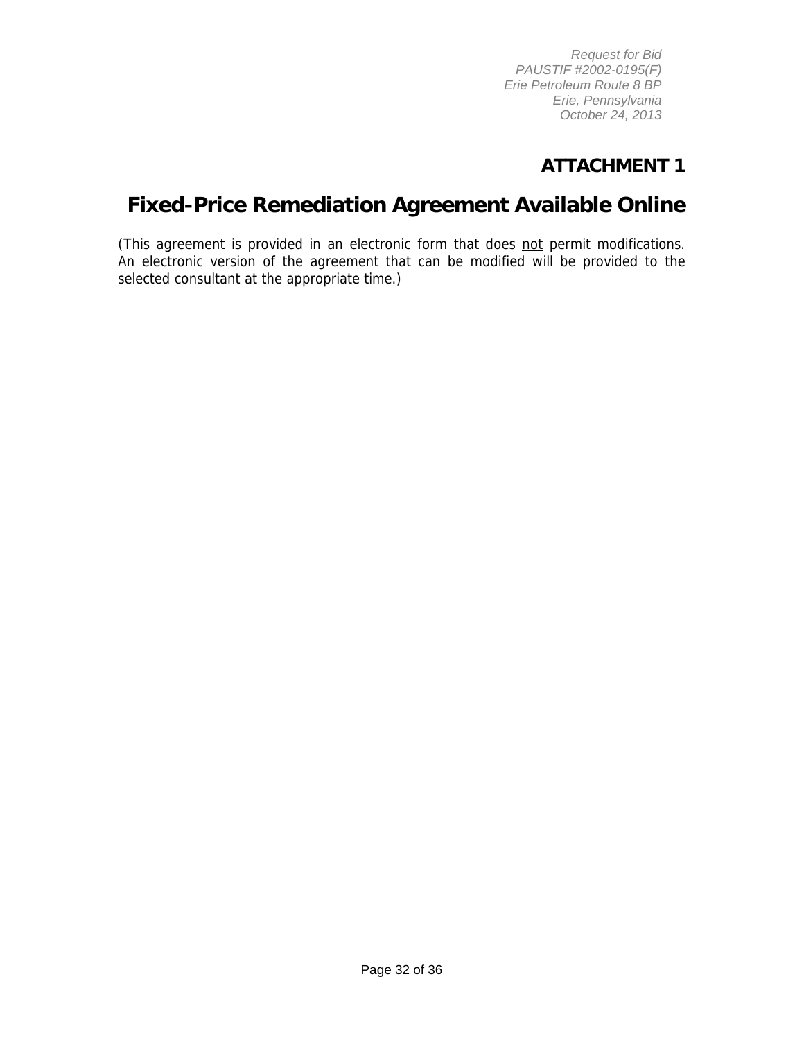# **ATTACHMENT 1**

# **Fixed-Price Remediation Agreement Available Online**

(This agreement is provided in an electronic form that does not permit modifications. An electronic version of the agreement that can be modified will be provided to the selected consultant at the appropriate time.)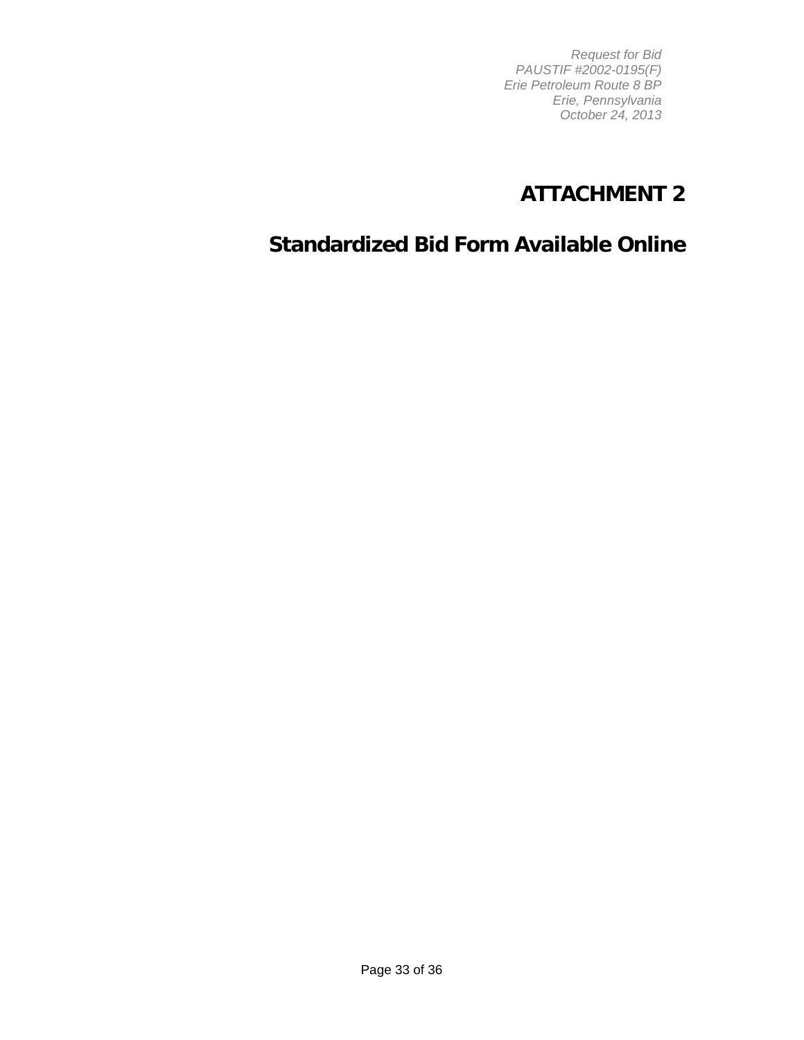# **ATTACHMENT 2**

# **Standardized Bid Form Available Online**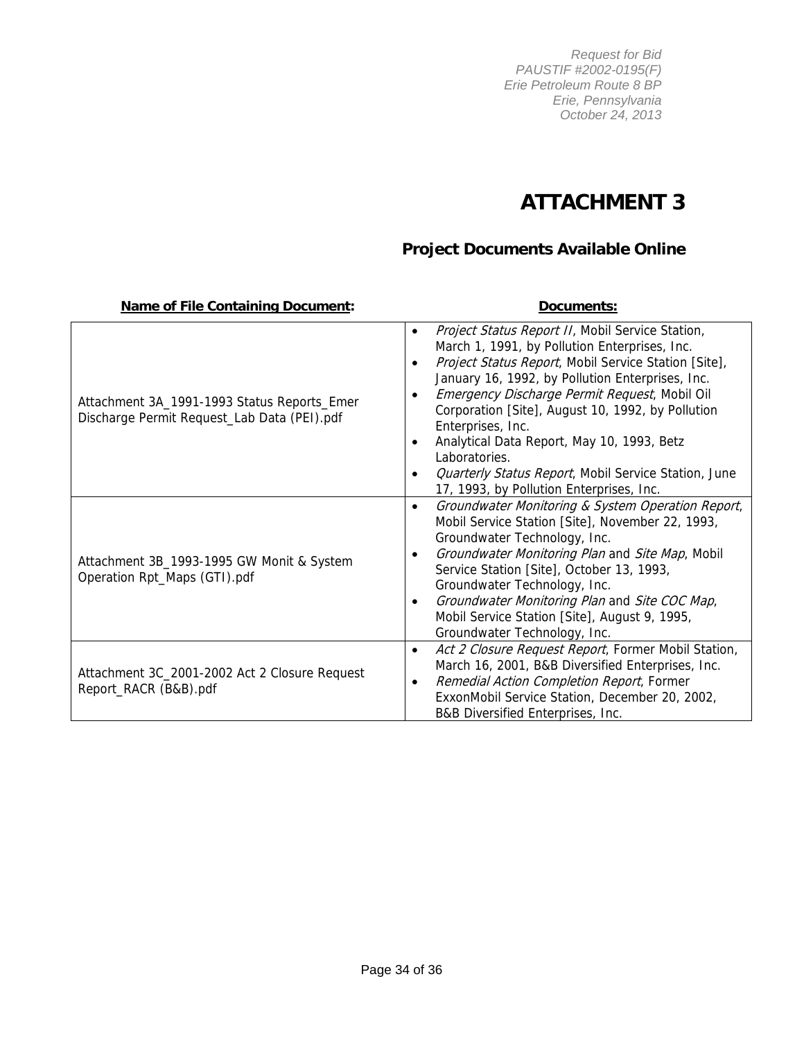# **ATTACHMENT 3**

# **Project Documents Available Online**

| <b>Name of File Containing Document:</b>                                                   | Documents:                                                                                                                                                                                                                                                                                                                                                                                                                                                                                                                                                     |
|--------------------------------------------------------------------------------------------|----------------------------------------------------------------------------------------------------------------------------------------------------------------------------------------------------------------------------------------------------------------------------------------------------------------------------------------------------------------------------------------------------------------------------------------------------------------------------------------------------------------------------------------------------------------|
| Attachment 3A_1991-1993 Status Reports_Emer<br>Discharge Permit Request_Lab Data (PEI).pdf | Project Status Report II, Mobil Service Station,<br>$\bullet$<br>March 1, 1991, by Pollution Enterprises, Inc.<br>Project Status Report, Mobil Service Station [Site],<br>$\bullet$<br>January 16, 1992, by Pollution Enterprises, Inc.<br>Emergency Discharge Permit Request, Mobil Oil<br>Corporation [Site], August 10, 1992, by Pollution<br>Enterprises, Inc.<br>Analytical Data Report, May 10, 1993, Betz<br>٠<br>Laboratories.<br><b>Quarterly Status Report, Mobil Service Station, June</b><br>$\bullet$<br>17, 1993, by Pollution Enterprises, Inc. |
| Attachment 3B_1993-1995 GW Monit & System<br>Operation Rpt_Maps (GTI).pdf                  | Groundwater Monitoring & System Operation Report,<br>$\bullet$<br>Mobil Service Station [Site], November 22, 1993,<br>Groundwater Technology, Inc.<br>Groundwater Monitoring Plan and Site Map, Mobil<br>٠<br>Service Station [Site], October 13, 1993,<br>Groundwater Technology, Inc.<br>Groundwater Monitoring Plan and Site COC Map,<br>$\bullet$<br>Mobil Service Station [Site], August 9, 1995,<br>Groundwater Technology, Inc.                                                                                                                         |
| Attachment 3C_2001-2002 Act 2 Closure Request<br>Report_RACR (B&B).pdf                     | Act 2 Closure Request Report, Former Mobil Station,<br>$\bullet$<br>March 16, 2001, B&B Diversified Enterprises, Inc.<br>Remedial Action Completion Report, Former<br>$\bullet$<br>ExxonMobil Service Station, December 20, 2002,<br>B&B Diversified Enterprises, Inc.                                                                                                                                                                                                                                                                                         |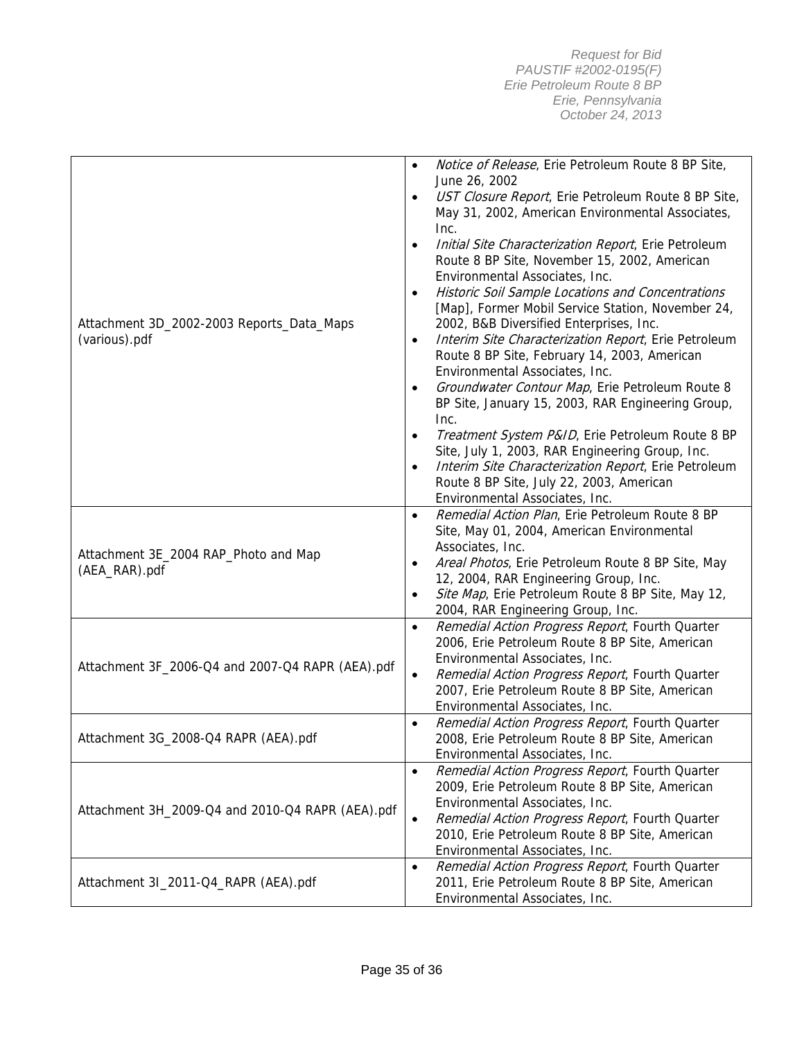| Attachment 3D_2002-2003 Reports_Data_Maps<br>(various).pdf | Notice of Release, Erie Petroleum Route 8 BP Site,<br>$\bullet$<br>June 26, 2002<br>UST Closure Report, Erie Petroleum Route 8 BP Site,<br>$\bullet$<br>May 31, 2002, American Environmental Associates,<br>Inc.<br>Initial Site Characterization Report, Erie Petroleum<br>$\bullet$<br>Route 8 BP Site, November 15, 2002, American<br>Environmental Associates, Inc.<br>Historic Soil Sample Locations and Concentrations<br>$\bullet$<br>[Map], Former Mobil Service Station, November 24,<br>2002, B&B Diversified Enterprises, Inc.<br>Interim Site Characterization Report, Erie Petroleum<br>$\bullet$<br>Route 8 BP Site, February 14, 2003, American<br>Environmental Associates, Inc.<br>Groundwater Contour Map, Erie Petroleum Route 8<br>$\bullet$<br>BP Site, January 15, 2003, RAR Engineering Group,<br>Inc.<br>Treatment System P&ID, Erie Petroleum Route 8 BP<br>$\bullet$<br>Site, July 1, 2003, RAR Engineering Group, Inc.<br>Interim Site Characterization Report, Erie Petroleum<br>$\bullet$<br>Route 8 BP Site, July 22, 2003, American<br>Environmental Associates, Inc. |
|------------------------------------------------------------|------------------------------------------------------------------------------------------------------------------------------------------------------------------------------------------------------------------------------------------------------------------------------------------------------------------------------------------------------------------------------------------------------------------------------------------------------------------------------------------------------------------------------------------------------------------------------------------------------------------------------------------------------------------------------------------------------------------------------------------------------------------------------------------------------------------------------------------------------------------------------------------------------------------------------------------------------------------------------------------------------------------------------------------------------------------------------------------------------|
| Attachment 3E_2004 RAP_Photo and Map<br>(AEA_RAR).pdf      | Remedial Action Plan, Erie Petroleum Route 8 BP<br>$\bullet$<br>Site, May 01, 2004, American Environmental<br>Associates, Inc.<br>Areal Photos, Erie Petroleum Route 8 BP Site, May<br>$\bullet$<br>12, 2004, RAR Engineering Group, Inc.<br>Site Map, Erie Petroleum Route 8 BP Site, May 12,<br>$\bullet$<br>2004, RAR Engineering Group, Inc.                                                                                                                                                                                                                                                                                                                                                                                                                                                                                                                                                                                                                                                                                                                                                     |
| Attachment 3F_2006-Q4 and 2007-Q4 RAPR (AEA).pdf           | Remedial Action Progress Report, Fourth Quarter<br>$\bullet$<br>2006, Erie Petroleum Route 8 BP Site, American<br>Environmental Associates, Inc.<br>Remedial Action Progress Report, Fourth Quarter<br>$\bullet$<br>2007, Erie Petroleum Route 8 BP Site, American<br>Environmental Associates, Inc.                                                                                                                                                                                                                                                                                                                                                                                                                                                                                                                                                                                                                                                                                                                                                                                                 |
| Attachment 3G_2008-Q4 RAPR (AEA).pdf                       | Remedial Action Progress Report, Fourth Quarter<br>$\bullet$<br>2008, Erie Petroleum Route 8 BP Site, American<br>Environmental Associates, Inc.                                                                                                                                                                                                                                                                                                                                                                                                                                                                                                                                                                                                                                                                                                                                                                                                                                                                                                                                                     |
| Attachment 3H_2009-Q4 and 2010-Q4 RAPR (AEA).pdf           | Remedial Action Progress Report, Fourth Quarter<br>$\bullet$<br>2009, Erie Petroleum Route 8 BP Site, American<br>Environmental Associates, Inc.<br>Remedial Action Progress Report, Fourth Quarter<br>$\bullet$<br>2010, Erie Petroleum Route 8 BP Site, American<br>Environmental Associates, Inc.                                                                                                                                                                                                                                                                                                                                                                                                                                                                                                                                                                                                                                                                                                                                                                                                 |
| Attachment 3I_2011-Q4_RAPR (AEA).pdf                       | Remedial Action Progress Report, Fourth Quarter<br>$\bullet$<br>2011, Erie Petroleum Route 8 BP Site, American<br>Environmental Associates, Inc.                                                                                                                                                                                                                                                                                                                                                                                                                                                                                                                                                                                                                                                                                                                                                                                                                                                                                                                                                     |